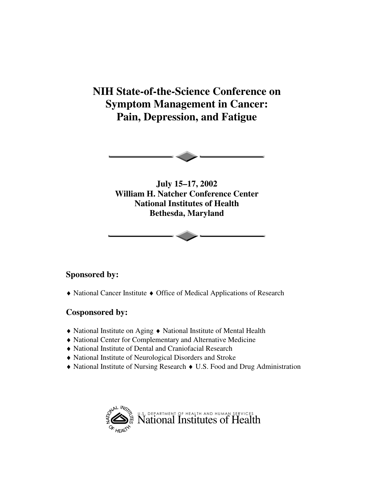# **NIH State-of-the-Science Conference on Symptom Management in Cancer: Pain, Depression, and Fatigue**



**July 15–17, 2002 William H. Natcher Conference Center National Institutes of Health Bethesda, Maryland** 



## **Sponsored by:**

♦ National Cancer Institute ♦ Office of Medical Applications of Research

## **Cosponsored by:**

- ♦ National Institute on Aging ♦ National Institute of Mental Health
- ♦ National Center for Complementary and Alternative Medicine
- ♦ National Institute of Dental and Craniofacial Research
- ♦ National Institute of Neurological Disorders and Stroke
- ♦ National Institute of Nursing Research ♦ U.S. Food and Drug Administration

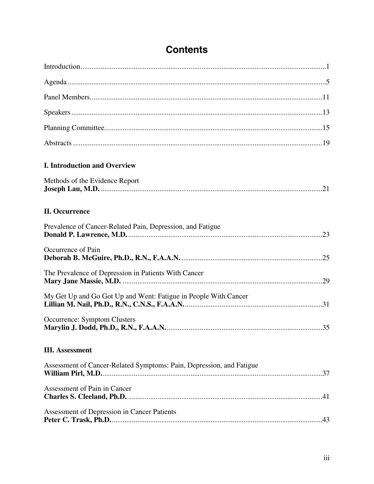# **Contents**

| <b>I. Introduction and Overview</b>                                  |
|----------------------------------------------------------------------|
| Methods of the Evidence Report                                       |
| <b>II. Occurrence</b>                                                |
| Prevalence of Cancer-Related Pain, Depression, and Fatigue           |
| Occurrence of Pain                                                   |
| The Prevalence of Depression in Patients With Cancer                 |
| My Get Up and Go Got Up and Went: Fatigue in People With Cancer      |
| Occurrence: Symptom Clusters                                         |
| <b>III.</b> Assessment                                               |
| Assessment of Cancer-Related Symptoms: Pain, Depression, and Fatigue |
| Assessment of Pain in Cancer                                         |
|                                                                      |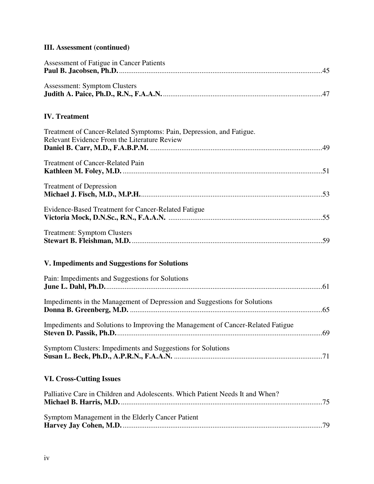# **III. Assessment (continued)**

| .69 |
|-----|
|     |
|     |
|     |
|     |
|     |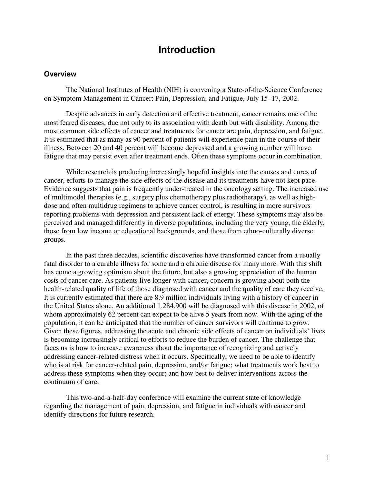# **Introduction**

#### **Overview**

The National Institutes of Health (NIH) is convening a State-of-the-Science Conference on Symptom Management in Cancer: Pain, Depression, and Fatigue, July 15–17, 2002.

Despite advances in early detection and effective treatment, cancer remains one of the most feared diseases, due not only to its association with death but with disability. Among the most common side effects of cancer and treatments for cancer are pain, depression, and fatigue. It is estimated that as many as 90 percent of patients will experience pain in the course of their illness. Between 20 and 40 percent will become depressed and a growing number will have fatigue that may persist even after treatment ends. Often these symptoms occur in combination.

While research is producing increasingly hopeful insights into the causes and cures of cancer, efforts to manage the side effects of the disease and its treatments have not kept pace. Evidence suggests that pain is frequently under-treated in the oncology setting. The increased use of multimodal therapies (e.g., surgery plus chemotherapy plus radiotherapy), as well as highdose and often multidrug regimens to achieve cancer control, is resulting in more survivors reporting problems with depression and persistent lack of energy. These symptoms may also be perceived and managed differently in diverse populations, including the very young, the elderly, those from low income or educational backgrounds, and those from ethno-culturally diverse groups.

In the past three decades, scientific discoveries have transformed cancer from a usually fatal disorder to a curable illness for some and a chronic disease for many more. With this shift has come a growing optimism about the future, but also a growing appreciation of the human costs of cancer care. As patients live longer with cancer, concern is growing about both the health-related quality of life of those diagnosed with cancer and the quality of care they receive. It is currently estimated that there are 8.9 million individuals living with a history of cancer in the United States alone. An additional 1,284,900 will be diagnosed with this disease in 2002, of whom approximately 62 percent can expect to be alive 5 years from now. With the aging of the population, it can be anticipated that the number of cancer survivors will continue to grow. Given these figures, addressing the acute and chronic side effects of cancer on individuals' lives is becoming increasingly critical to efforts to reduce the burden of cancer. The challenge that faces us is how to increase awareness about the importance of recognizing and actively addressing cancer-related distress when it occurs. Specifically, we need to be able to identify who is at risk for cancer-related pain, depression, and/or fatigue; what treatments work best to address these symptoms when they occur; and how best to deliver interventions across the continuum of care.

This two-and-a-half-day conference will examine the current state of knowledge regarding the management of pain, depression, and fatigue in individuals with cancer and identify directions for future research.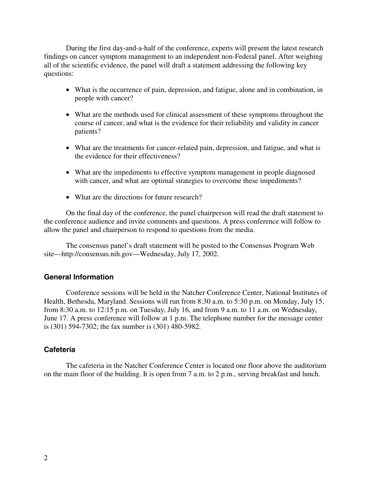During the first day-and-a-half of the conference, experts will present the latest research findings on cancer symptom management to an independent non-Federal panel. After weighing all of the scientific evidence, the panel will draft a statement addressing the following key questions:

- What is the occurrence of pain, depression, and fatigue, alone and in combination, in people with cancer?
- What are the methods used for clinical assessment of these symptoms throughout the course of cancer, and what is the evidence for their reliability and validity in cancer patients?
- What are the treatments for cancer-related pain, depression, and fatigue, and what is the evidence for their effectiveness?
- What are the impediments to effective symptom management in people diagnosed with cancer, and what are optimal strategies to overcome these impediments?
- What are the directions for future research?

On the final day of the conference, the panel chairperson will read the draft statement to the conference audience and invite comments and questions. A press conference will follow to allow the panel and chairperson to respond to questions from the media.

The consensus panel's draft statement will be posted to the Consensus Program Web site—http://consensus.nih.gov—Wednesday, July 17, 2002.

#### **General Information**

Conference sessions will be held in the Natcher Conference Center, National Institutes of Health, Bethesda, Maryland. Sessions will run from 8:30 a.m. to 5:30 p.m. on Monday, July 15, from 8:30 a.m. to 12:15 p.m. on Tuesday, July 16, and from 9 a.m. to 11 a.m. on Wednesday, June 17. A press conference will follow at 1 p.m. The telephone number for the message center is (301) 594-7302; the fax number is (301) 480-5982.

#### **Cafeteria**

The cafeteria in the Natcher Conference Center is located one floor above the auditorium on the main floor of the building. It is open from 7 a.m. to 2 p.m., serving breakfast and lunch.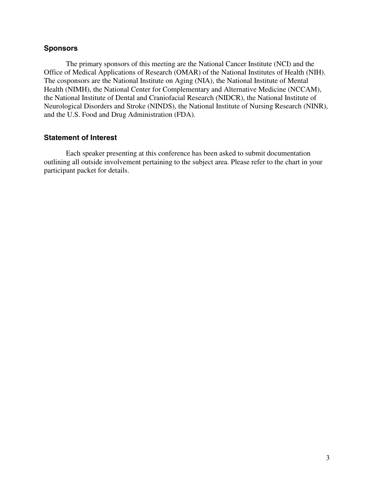#### **Sponsors**

The primary sponsors of this meeting are the National Cancer Institute (NCI) and the Office of Medical Applications of Research (OMAR) of the National Institutes of Health (NIH). The cosponsors are the National Institute on Aging (NIA), the National Institute of Mental Health (NIMH), the National Center for Complementary and Alternative Medicine (NCCAM), the National Institute of Dental and Craniofacial Research (NIDCR), the National Institute of Neurological Disorders and Stroke (NINDS), the National Institute of Nursing Research (NINR), and the U.S. Food and Drug Administration (FDA).

### **Statement of Interest**

Each speaker presenting at this conference has been asked to submit documentation outlining all outside involvement pertaining to the subject area. Please refer to the chart in your participant packet for details.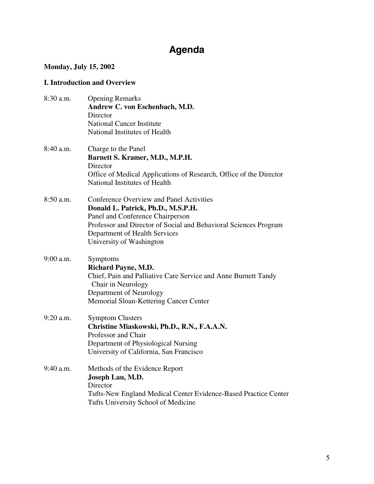# **Agenda**

# **Monday, July 15, 2002**

# **I. Introduction and Overview**

| 8:30 a.m.   | <b>Opening Remarks</b><br>Andrew C. von Eschenbach, M.D.<br>Director<br><b>National Cancer Institute</b><br>National Institutes of Health                                                                                                           |
|-------------|-----------------------------------------------------------------------------------------------------------------------------------------------------------------------------------------------------------------------------------------------------|
| 8:40 a.m.   | Charge to the Panel<br>Barnett S. Kramer, M.D., M.P.H.<br>Director<br>Office of Medical Applications of Research, Office of the Director<br>National Institutes of Health                                                                           |
| 8:50 a.m.   | Conference Overview and Panel Activities<br>Donald L. Patrick, Ph.D., M.S.P.H.<br>Panel and Conference Chairperson<br>Professor and Director of Social and Behavioral Sciences Program<br>Department of Health Services<br>University of Washington |
| 9:00 a.m.   | <b>Symptoms</b><br>Richard Payne, M.D.<br>Chief, Pain and Palliative Care Service and Anne Burnett Tandy<br>Chair in Neurology<br>Department of Neurology<br>Memorial Sloan-Kettering Cancer Center                                                 |
| $9:20$ a.m. | <b>Symptom Clusters</b><br>Christine Miaskowski, Ph.D., R.N., F.A.A.N.<br>Professor and Chair<br>Department of Physiological Nursing<br>University of California, San Francisco                                                                     |
| 9:40 a.m.   | Methods of the Evidence Report<br>Joseph Lau, M.D.<br>Director<br>Tufts-New England Medical Center Evidence-Based Practice Center<br>Tufts University School of Medicine                                                                            |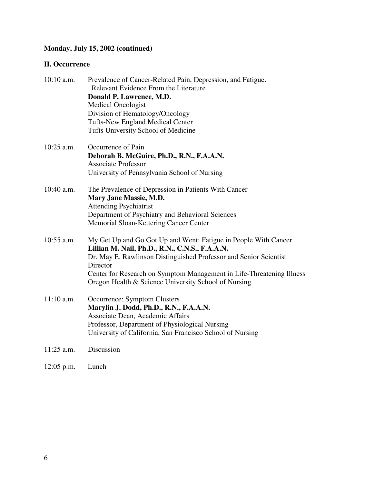# **Monday, July 15, 2002 (continued)**

## **II. Occurrence**

| Prevalence of Cancer-Related Pain, Depression, and Fatigue.           |
|-----------------------------------------------------------------------|
| Relevant Evidence From the Literature                                 |
| Donald P. Lawrence, M.D.                                              |
| <b>Medical Oncologist</b>                                             |
| Division of Hematology/Oncology                                       |
| <b>Tufts-New England Medical Center</b>                               |
| Tufts University School of Medicine                                   |
| Occurrence of Pain                                                    |
| Deborah B. McGuire, Ph.D., R.N., F.A.A.N.                             |
| <b>Associate Professor</b>                                            |
| University of Pennsylvania School of Nursing                          |
| The Prevalence of Depression in Patients With Cancer                  |
| Mary Jane Massie, M.D.                                                |
| <b>Attending Psychiatrist</b>                                         |
| Department of Psychiatry and Behavioral Sciences                      |
| Memorial Sloan-Kettering Cancer Center                                |
| My Get Up and Go Got Up and Went: Fatigue in People With Cancer       |
| Lillian M. Nail, Ph.D., R.N., C.N.S., F.A.A.N.                        |
| Dr. May E. Rawlinson Distinguished Professor and Senior Scientist     |
| Director                                                              |
| Center for Research on Symptom Management in Life-Threatening Illness |
| Oregon Health & Science University School of Nursing                  |
| Occurrence: Symptom Clusters                                          |
| Marylin J. Dodd, Ph.D., R.N., F.A.A.N.                                |
| Associate Dean, Academic Affairs                                      |
| Professor, Department of Physiological Nursing                        |
| University of California, San Francisco School of Nursing             |
| Discussion                                                            |
|                                                                       |

12:05 p.m. Lunch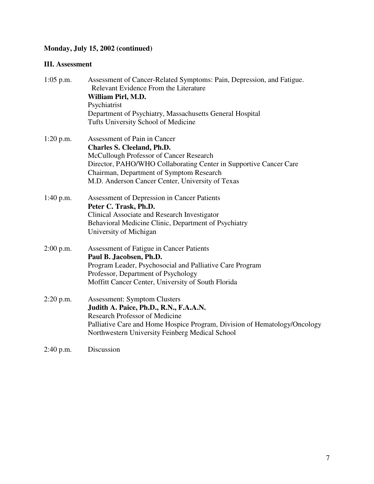# **Monday, July 15, 2002 (continued)**

## **III. Assessment**

| $1:05$ p.m. | Assessment of Cancer-Related Symptoms: Pain, Depression, and Fatigue.<br>Relevant Evidence From the Literature<br>William Pirl, M.D.<br>Psychiatrist<br>Department of Psychiatry, Massachusetts General Hospital<br>Tufts University School of Medicine                           |
|-------------|-----------------------------------------------------------------------------------------------------------------------------------------------------------------------------------------------------------------------------------------------------------------------------------|
| $1:20$ p.m. | Assessment of Pain in Cancer<br><b>Charles S. Cleeland, Ph.D.</b><br>McCullough Professor of Cancer Research<br>Director, PAHO/WHO Collaborating Center in Supportive Cancer Care<br>Chairman, Department of Symptom Research<br>M.D. Anderson Cancer Center, University of Texas |
| $1:40$ p.m. | Assessment of Depression in Cancer Patients<br>Peter C. Trask, Ph.D.<br>Clinical Associate and Research Investigator<br>Behavioral Medicine Clinic, Department of Psychiatry<br>University of Michigan                                                                            |
| $2:00$ p.m. | Assessment of Fatigue in Cancer Patients<br>Paul B. Jacobsen, Ph.D.<br>Program Leader, Psychosocial and Palliative Care Program<br>Professor, Department of Psychology<br>Moffitt Cancer Center, University of South Florida                                                      |
| $2:20$ p.m. | <b>Assessment: Symptom Clusters</b><br>Judith A. Paice, Ph.D., R.N., F.A.A.N.<br><b>Research Professor of Medicine</b><br>Palliative Care and Home Hospice Program, Division of Hematology/Oncology<br>Northwestern University Feinberg Medical School                            |

2:40 p.m. Discussion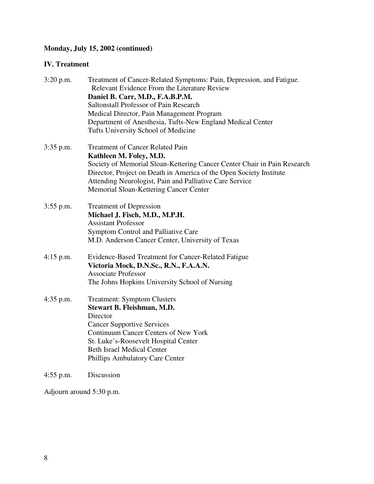# **Monday, July 15, 2002 (continued)**

## **IV. Treatment**

| $3:20$ p.m. | Treatment of Cancer-Related Symptoms: Pain, Depression, and Fatigue.<br>Relevant Evidence From the Literature Review<br>Daniel B. Carr, M.D., F.A.B.P.M.<br>Saltonstall Professor of Pain Research<br>Medical Director, Pain Management Program<br>Department of Anesthesia, Tufts-New England Medical Center<br>Tufts University School of Medicine |
|-------------|------------------------------------------------------------------------------------------------------------------------------------------------------------------------------------------------------------------------------------------------------------------------------------------------------------------------------------------------------|
| $3:35$ p.m. | <b>Treatment of Cancer Related Pain</b><br>Kathleen M. Foley, M.D.<br>Society of Memorial Sloan-Kettering Cancer Center Chair in Pain Research<br>Director, Project on Death in America of the Open Society Institute<br>Attending Neurologist, Pain and Palliative Care Service<br>Memorial Sloan-Kettering Cancer Center                           |
| $3:55$ p.m. | <b>Treatment of Depression</b><br>Michael J. Fisch, M.D., M.P.H.<br><b>Assistant Professor</b><br>Symptom Control and Palliative Care<br>M.D. Anderson Cancer Center, University of Texas                                                                                                                                                            |
| $4:15$ p.m. | Evidence-Based Treatment for Cancer-Related Fatigue<br>Victoria Mock, D.N.Sc., R.N., F.A.A.N.<br><b>Associate Professor</b><br>The Johns Hopkins University School of Nursing                                                                                                                                                                        |
| $4:35$ p.m. | <b>Treatment: Symptom Clusters</b><br><b>Stewart B. Fleishman, M.D.</b><br>Director<br><b>Cancer Supportive Services</b><br><b>Continuum Cancer Centers of New York</b><br>St. Luke's-Roosevelt Hospital Center<br><b>Beth Israel Medical Center</b><br>Phillips Ambulatory Care Center                                                              |
| $4:55$ p.m. | Discussion                                                                                                                                                                                                                                                                                                                                           |

Adjourn around 5:30 p.m.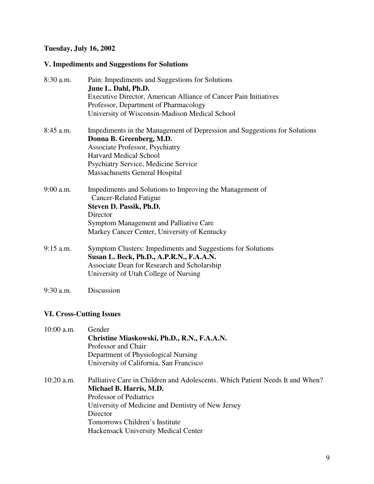# **Tuesday, July 16, 2002**

# **V. Impediments and Suggestions for Solutions**

| 8:30 a.m.   | Pain: Impediments and Suggestions for Solutions                                           |
|-------------|-------------------------------------------------------------------------------------------|
|             | June L. Dahl, Ph.D.                                                                       |
|             | Executive Director, American Alliance of Cancer Pain Initiatives                          |
|             | Professor, Department of Pharmacology                                                     |
|             | University of Wisconsin-Madison Medical School                                            |
| $8:45$ a.m. | Impediments in the Management of Depression and Suggestions for Solutions                 |
|             | Donna B. Greenberg, M.D.                                                                  |
|             | Associate Professor, Psychiatry                                                           |
|             | <b>Harvard Medical School</b>                                                             |
|             | Psychiatry Service, Medicine Service                                                      |
|             | <b>Massachusetts General Hospital</b>                                                     |
| $9:00$ a.m. | Impediments and Solutions to Improving the Management of<br><b>Cancer-Related Fatigue</b> |
|             | Steven D. Passik, Ph.D.                                                                   |
|             | Director                                                                                  |
|             | Symptom Management and Palliative Care                                                    |
|             | Markey Cancer Center, University of Kentucky                                              |
| $9:15$ a.m. | Symptom Clusters: Impediments and Suggestions for Solutions                               |
|             | Susan L. Beck, Ph.D., A.P.R.N., F.A.A.N.                                                  |
|             | Associate Dean for Research and Scholarship                                               |
|             | University of Utah College of Nursing                                                     |
| 9:30 a.m.   | Discussion                                                                                |

# **VI. Cross-Cutting Issues**

| $10:00$ a.m. | Gender                                                                        |
|--------------|-------------------------------------------------------------------------------|
|              | Christine Miaskowski, Ph.D., R.N., F.A.A.N.                                   |
|              | Professor and Chair                                                           |
|              | Department of Physiological Nursing                                           |
|              | University of California, San Francisco                                       |
| $10:20$ a.m. | Palliative Care in Children and Adolescents. Which Patient Needs It and When? |
|              | Michael B. Harris, M.D.                                                       |
|              | <b>Professor of Pediatrics</b>                                                |
|              | University of Medicine and Dentistry of New Jersey                            |
|              | Director                                                                      |
|              | Tomorrows Children's Institute                                                |
|              | Hackensack University Medical Center                                          |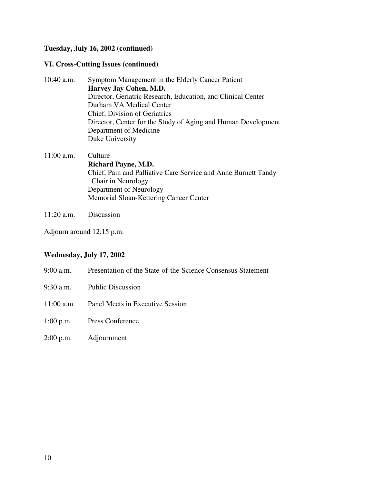#### **Tuesday, July 16, 2002 (continued)**

#### **VI. Cross-Cutting Issues (continued)**

- 10:40 a.m. Symptom Management in the Elderly Cancer Patient **Harvey Jay Cohen, M.D.**  Director, Geriatric Research, Education, and Clinical Center Durham VA Medical Center Chief, Division of Geriatrics Director, Center for the Study of Aging and Human Development Department of Medicine Duke University
- 11:00 a.m. Culture **Richard Payne, M.D.**  Chief, Pain and Palliative Care Service and Anne Burnett Tandy Chair in Neurology Department of Neurology Memorial Sloan-Kettering Cancer Center
- 11:20 a.m. Discussion

Adjourn around 12:15 p.m.

#### **Wednesday, July 17, 2002**

- 9:00 a.m. Presentation of the State-of-the-Science Consensus Statement 9:30 a.m. Public Discussion 11:00 a.m. Panel Meets in Executive Session 1:00 p.m. Press Conference
- 2:00 p.m. Adjournment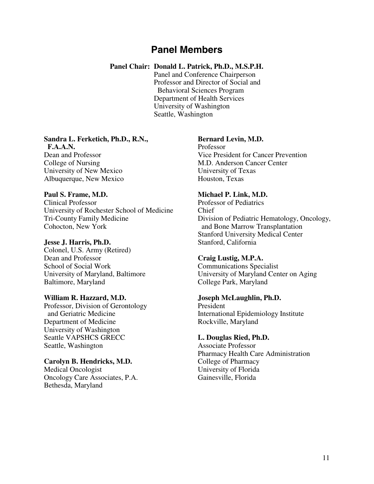# **Panel Members**

#### **Panel Chair: Donald L. Patrick, Ph.D., M.S.P.H.**

Panel and Conference Chairperson Professor and Director of Social and Behavioral Sciences Program Department of Health Services University of Washington Seattle, Washington

#### **Sandra L. Ferketich, Ph.D., R.N., F.A.A.N.**

Dean and Professor College of Nursing University of New Mexico Albuquerque, New Mexico

#### **Paul S. Frame, M.D.**

Clinical Professor University of Rochester School of Medicine Tri-County Family Medicine Cohocton, New York

#### **Jesse J. Harris, Ph.D.**

Colonel, U.S. Army (Retired) Dean and Professor School of Social Work University of Maryland, Baltimore Baltimore, Maryland

#### **William R. Hazzard, M.D.**

Professor, Division of Gerontology and Geriatric Medicine Department of Medicine University of Washington Seattle VAPSHCS GRECC Seattle, Washington

#### **Carolyn B. Hendricks, M.D.**

Medical Oncologist Oncology Care Associates, P.A. Bethesda, Maryland

#### **Bernard Levin, M.D.**

Professor Vice President for Cancer Prevention M.D. Anderson Cancer Center University of Texas Houston, Texas

#### **Michael P. Link, M.D.**

Professor of Pediatrics Chief Division of Pediatric Hematology, Oncology, and Bone Marrow Transplantation Stanford University Medical Center Stanford, California

#### **Craig Lustig, M.P.A.**

Communications Specialist University of Maryland Center on Aging College Park, Maryland

#### **Joseph McLaughlin, Ph.D.**

President International Epidemiology Institute Rockville, Maryland

#### **L. Douglas Ried, Ph.D.**

Associate Professor Pharmacy Health Care Administration College of Pharmacy University of Florida Gainesville, Florida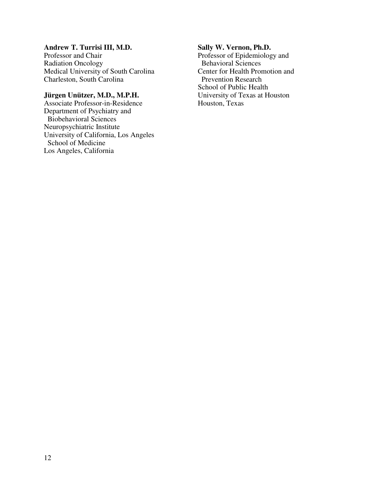#### **Andrew T. Turrisi III, M.D.**

Professor and Chair Radiation Oncology Medical University of South Carolina Charleston, South Carolina

## **Jürgen Unützer, M.D., M.P.H.**

Associate Professor-in-Residence Department of Psychiatry and Biobehavioral Sciences Neuropsychiatric Institute University of California, Los Angeles School of Medicine Los Angeles, California

#### **Sally W. Vernon, Ph.D.**

Professor of Epidemiology and Behavioral Sciences Center for Health Promotion and Prevention Research School of Public Health University of Texas at Houston Houston, Texas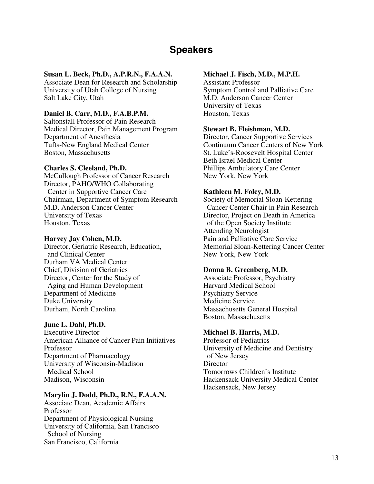# **Speakers**

#### **Susan L. Beck, Ph.D., A.P.R.N., F.A.A.N.**

Associate Dean for Research and Scholarship University of Utah College of Nursing Salt Lake City, Utah

#### **Daniel B. Carr, M.D., F.A.B.P.M.**

Saltonstall Professor of Pain Research Medical Director, Pain Management Program Department of Anesthesia Tufts-New England Medical Center Boston, Massachusetts

#### **Charles S. Cleeland, Ph.D.**

McCullough Professor of Cancer Research Director, PAHO/WHO Collaborating Center in Supportive Cancer Care Chairman, Department of Symptom Research M.D. Anderson Cancer Center University of Texas Houston, Texas

#### **Harvey Jay Cohen, M.D.**

Director, Geriatric Research, Education, and Clinical Center Durham VA Medical Center Chief, Division of Geriatrics Director, Center for the Study of Aging and Human Development Department of Medicine Duke University Durham, North Carolina

#### **June L. Dahl, Ph.D.**

Executive Director American Alliance of Cancer Pain Initiatives Professor Department of Pharmacology University of Wisconsin-Madison Medical School Madison, Wisconsin

#### **Marylin J. Dodd, Ph.D., R.N., F.A.A.N.**

Associate Dean, Academic Affairs Professor Department of Physiological Nursing University of California, San Francisco School of Nursing San Francisco, California

#### **Michael J. Fisch, M.D., M.P.H.**

Assistant Professor Symptom Control and Palliative Care M.D. Anderson Cancer Center University of Texas Houston, Texas

#### **Stewart B. Fleishman, M.D.**

Director, Cancer Supportive Services Continuum Cancer Centers of New York St. Luke's-Roosevelt Hospital Center Beth Israel Medical Center Phillips Ambulatory Care Center New York, New York

#### **Kathleen M. Foley, M.D.**

Society of Memorial Sloan-Kettering Cancer Center Chair in Pain Research Director, Project on Death in America of the Open Society Institute Attending Neurologist Pain and Palliative Care Service Memorial Sloan-Kettering Cancer Center New York, New York

#### **Donna B. Greenberg, M.D.**

Associate Professor, Psychiatry Harvard Medical School Psychiatry Service Medicine Service Massachusetts General Hospital Boston, Massachusetts

#### **Michael B. Harris, M.D.**

Professor of Pediatrics University of Medicine and Dentistry of New Jersey **Director** Tomorrows Children's Institute Hackensack University Medical Center Hackensack, New Jersey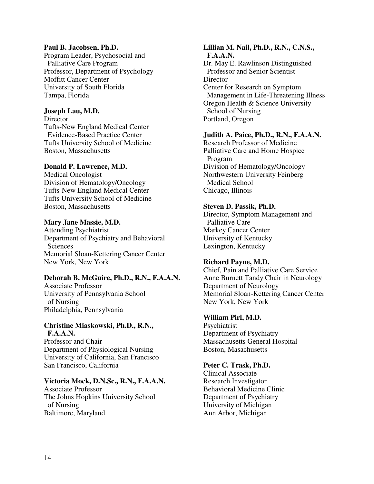#### **Paul B. Jacobsen, Ph.D.**

Program Leader, Psychosocial and Palliative Care Program Professor, Department of Psychology Moffitt Cancer Center University of South Florida Tampa, Florida

#### **Joseph Lau, M.D.**

**Director** Tufts-New England Medical Center Evidence-Based Practice Center Tufts University School of Medicine Boston, Massachusetts

#### **Donald P. Lawrence, M.D.**

Medical Oncologist Division of Hematology/Oncology Tufts-New England Medical Center Tufts University School of Medicine Boston, Massachusetts

#### **Mary Jane Massie, M.D.**

Attending Psychiatrist Department of Psychiatry and Behavioral **Sciences** Memorial Sloan-Kettering Cancer Center New York, New York

#### **Deborah B. McGuire, Ph.D., R.N., F.A.A.N.**

Associate Professor University of Pennsylvania School of Nursing Philadelphia, Pennsylvania

#### **Christine Miaskowski, Ph.D., R.N., F.A.A.N.**

Professor and Chair Department of Physiological Nursing University of California, San Francisco San Francisco, California

#### **Victoria Mock, D.N.Sc., R.N., F.A.A.N.**

Associate Professor The Johns Hopkins University School of Nursing Baltimore, Maryland

### **Lillian M. Nail, Ph.D., R.N., C.N.S., F.A.A.N.**  Dr. May E. Rawlinson Distinguished

Professor and Senior Scientist **Director** Center for Research on Symptom Management in Life-Threatening Illness Oregon Health & Science University School of Nursing Portland, Oregon

#### **Judith A. Paice, Ph.D., R.N., F.A.A.N.**

Research Professor of Medicine Palliative Care and Home Hospice Program Division of Hematology/Oncology Northwestern University Feinberg Medical School Chicago, Illinois

#### **Steven D. Passik, Ph.D.**

Director, Symptom Management and Palliative Care Markey Cancer Center University of Kentucky Lexington, Kentucky

### **Richard Payne, M.D.**

Chief, Pain and Palliative Care Service Anne Burnett Tandy Chair in Neurology Department of Neurology Memorial Sloan-Kettering Cancer Center New York, New York

#### **William Pirl, M.D.**

Psychiatrist Department of Psychiatry Massachusetts General Hospital Boston, Masachusetts

#### **Peter C. Trask, Ph.D.**

Clinical Associate Research Investigator Behavioral Medicine Clinic Department of Psychiatry University of Michigan Ann Arbor, Michigan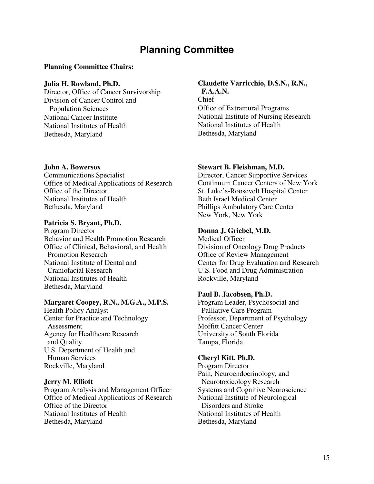# **Planning Committee**

### **Planning Committee Chairs:**

#### **Julia H. Rowland, Ph.D.**

Director, Office of Cancer Survivorship Division of Cancer Control and Population Sciences National Cancer Institute National Institutes of Health Bethesda, Maryland

#### **Claudette Varricchio, D.S.N., R.N.,**

**F.A.A.N.**  Chief Office of Extramural Programs National Institute of Nursing Research National Institutes of Health Bethesda, Maryland

#### **John A. Bowersox**

Communications Specialist Office of Medical Applications of Research Office of the Director National Institutes of Health Bethesda, Maryland

#### **Patricia S. Bryant, Ph.D.**

Program Director Behavior and Health Promotion Research Office of Clinical, Behavioral, and Health Promotion Research National Institute of Dental and Craniofacial Research National Institutes of Health Bethesda, Maryland

#### **Margaret Coopey, R.N., M.G.A., M.P.S.**

Health Policy Analyst Center for Practice and Technology Assessment Agency for Healthcare Research and Quality U.S. Department of Health and Human Services Rockville, Maryland

### **Jerry M. Elliott**

Program Analysis and Management Officer Office of Medical Applications of Research Office of the Director National Institutes of Health Bethesda, Maryland

#### **Stewart B. Fleishman, M.D.**

Director, Cancer Supportive Services Continuum Cancer Centers of New York St. Luke's-Roosevelt Hospital Center Beth Israel Medical Center Phillips Ambulatory Care Center New York, New York

### **Donna J. Griebel, M.D.**

Medical Officer Division of Oncology Drug Products Office of Review Management Center for Drug Evaluation and Research U.S. Food and Drug Administration Rockville, Maryland

#### **Paul B. Jacobsen, Ph.D.**

Program Leader, Psychosocial and Palliative Care Program Professor, Department of Psychology Moffitt Cancer Center University of South Florida Tampa, Florida

#### **Cheryl Kitt, Ph.D.**

Program Director Pain, Neuroendocrinology, and Neurotoxicology Research Systems and Cognitive Neuroscience National Institute of Neurological Disorders and Stroke National Institutes of Health Bethesda, Maryland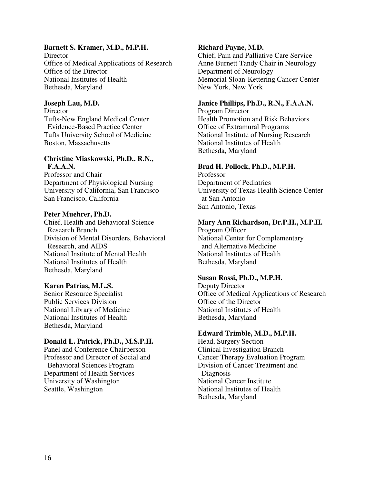#### **Barnett S. Kramer, M.D., M.P.H.**

**Director** Office of Medical Applications of Research Office of the Director National Institutes of Health Bethesda, Maryland

#### **Joseph Lau, M.D.**

Director Tufts-New England Medical Center Evidence-Based Practice Center Tufts University School of Medicine Boston, Massachusetts

#### **Christine Miaskowski, Ph.D., R.N., F.A.A.N.**

Professor and Chair Department of Physiological Nursing University of California, San Francisco San Francisco, California

#### **Peter Muehrer, Ph.D.**

Chief, Health and Behavioral Science Research Branch Division of Mental Disorders, Behavioral Research, and AIDS National Institute of Mental Health National Institutes of Health Bethesda, Maryland

#### **Karen Patrias, M.L.S.**

Senior Resource Specialist Public Services Division National Library of Medicine National Institutes of Health Bethesda, Maryland

#### **Donald L. Patrick, Ph.D., M.S.P.H.**

Panel and Conference Chairperson Professor and Director of Social and Behavioral Sciences Program Department of Health Services University of Washington Seattle, Washington

#### **Richard Payne, M.D.**

Chief, Pain and Palliative Care Service Anne Burnett Tandy Chair in Neurology Department of Neurology Memorial Sloan-Kettering Cancer Center New York, New York

#### **Janice Phillips, Ph.D., R.N., F.A.A.N.**

Program Director Health Promotion and Risk Behaviors Office of Extramural Programs National Institute of Nursing Research National Institutes of Health Bethesda, Maryland

#### **Brad H. Pollock, Ph.D., M.P.H.**

Professor Department of Pediatrics University of Texas Health Science Center at San Antonio San Antonio, Texas

#### **Mary Ann Richardson, Dr.P.H., M.P.H.**

Program Officer National Center for Complementary and Alternative Medicine National Institutes of Health Bethesda, Maryland

#### **Susan Rossi, Ph.D., M.P.H.**

Deputy Director Office of Medical Applications of Research Office of the Director National Institutes of Health Bethesda, Maryland

#### **Edward Trimble, M.D., M.P.H.**

Head, Surgery Section Clinical Investigation Branch Cancer Therapy Evaluation Program Division of Cancer Treatment and Diagnosis National Cancer Institute National Institutes of Health Bethesda, Maryland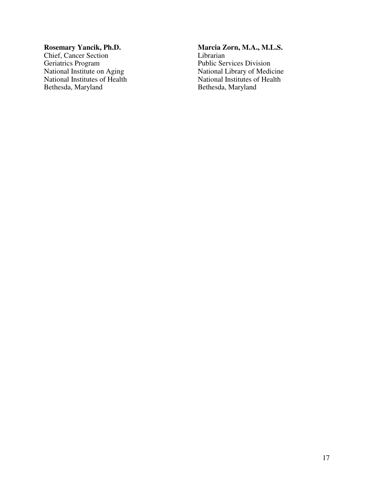#### **Rosemary Yancik, Ph.D.**

Chief, Cancer Section Geriatrics Program National Institute on Aging National Institutes of Health Bethesda, Maryland

### **Marcia Zorn, M.A., M.L.S.**

Librarian Public Services Division National Library of Medicine National Institutes of Health Bethesda, Maryland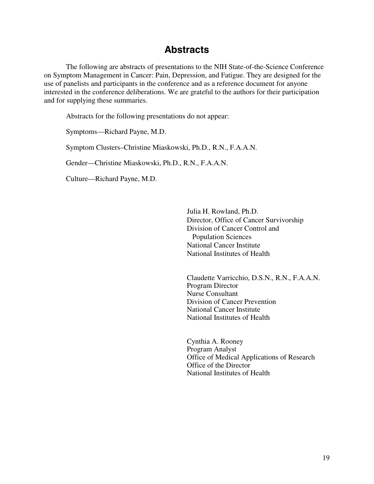# **Abstracts**

The following are abstracts of presentations to the NIH State-of-the-Science Conference on Symptom Management in Cancer: Pain, Depression, and Fatigue. They are designed for the use of panelists and participants in the conference and as a reference document for anyone interested in the conference deliberations. We are grateful to the authors for their participation and for supplying these summaries.

Abstracts for the following presentations do not appear:

Symptoms—Richard Payne, M.D.

Symptom Clusters–Christine Miaskowski, Ph.D., R.N., F.A.A.N.

Gender—Christine Miaskowski, Ph.D., R.N., F.A.A.N.

Culture—Richard Payne, M.D.

Julia H. Rowland, Ph.D. Director, Office of Cancer Survivorship Division of Cancer Control and Population Sciences National Cancer Institute National Institutes of Health

Claudette Varricchio, D.S.N., R.N., F.A.A.N. Program Director Nurse Consultant Division of Cancer Prevention National Cancer Institute National Institutes of Health

Cynthia A. Rooney Program Analyst Office of Medical Applications of Research Office of the Director National Institutes of Health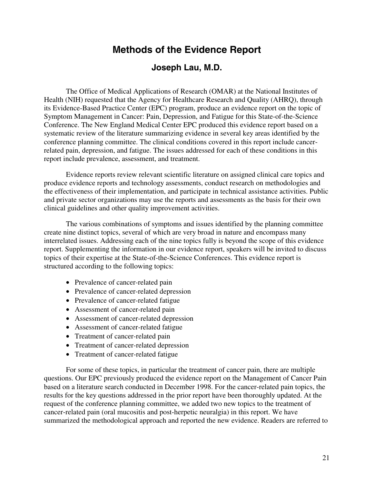# **Methods of the Evidence Report**

## **Joseph Lau, M.D.**

The Office of Medical Applications of Research (OMAR) at the National Institutes of Health (NIH) requested that the Agency for Healthcare Research and Quality (AHRQ), through its Evidence-Based Practice Center (EPC) program, produce an evidence report on the topic of Symptom Management in Cancer: Pain, Depression, and Fatigue for this State-of-the-Science Conference. The New England Medical Center EPC produced this evidence report based on a systematic review of the literature summarizing evidence in several key areas identified by the conference planning committee. The clinical conditions covered in this report include cancerrelated pain, depression, and fatigue. The issues addressed for each of these conditions in this report include prevalence, assessment, and treatment.

Evidence reports review relevant scientific literature on assigned clinical care topics and produce evidence reports and technology assessments, conduct research on methodologies and the effectiveness of their implementation, and participate in technical assistance activities. Public and private sector organizations may use the reports and assessments as the basis for their own clinical guidelines and other quality improvement activities.

The various combinations of symptoms and issues identified by the planning committee create nine distinct topics, several of which are very broad in nature and encompass many interrelated issues. Addressing each of the nine topics fully is beyond the scope of this evidence report. Supplementing the information in our evidence report, speakers will be invited to discuss topics of their expertise at the State-of-the-Science Conferences. This evidence report is structured according to the following topics:

- Prevalence of cancer-related pain
- Prevalence of cancer-related depression
- Prevalence of cancer-related fatigue
- Assessment of cancer-related pain
- Assessment of cancer-related depression
- Assessment of cancer-related fatigue
- Treatment of cancer-related pain
- Treatment of cancer-related depression
- Treatment of cancer-related fatigue

For some of these topics, in particular the treatment of cancer pain, there are multiple questions. Our EPC previously produced the evidence report on the Management of Cancer Pain based on a literature search conducted in December 1998. For the cancer-related pain topics, the results for the key questions addressed in the prior report have been thoroughly updated. At the request of the conference planning committee, we added two new topics to the treatment of cancer-related pain (oral mucositis and post-herpetic neuralgia) in this report. We have summarized the methodological approach and reported the new evidence. Readers are referred to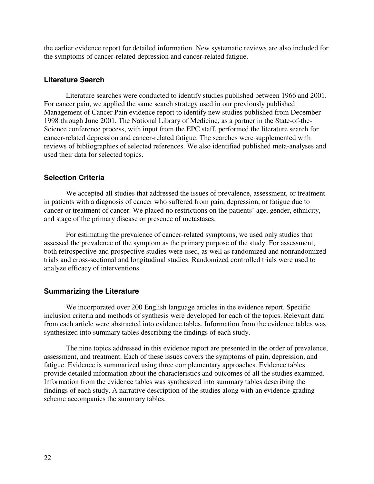the earlier evidence report for detailed information. New systematic reviews are also included for the symptoms of cancer-related depression and cancer-related fatigue.

### **Literature Search**

Literature searches were conducted to identify studies published between 1966 and 2001. For cancer pain, we applied the same search strategy used in our previously published Management of Cancer Pain evidence report to identify new studies published from December 1998 through June 2001. The National Library of Medicine, as a partner in the State-of-the-Science conference process, with input from the EPC staff, performed the literature search for cancer-related depression and cancer-related fatigue. The searches were supplemented with reviews of bibliographies of selected references. We also identified published meta-analyses and used their data for selected topics.

### **Selection Criteria**

We accepted all studies that addressed the issues of prevalence, assessment, or treatment in patients with a diagnosis of cancer who suffered from pain, depression, or fatigue due to cancer or treatment of cancer. We placed no restrictions on the patients' age, gender, ethnicity, and stage of the primary disease or presence of metastases.

For estimating the prevalence of cancer-related symptoms, we used only studies that assessed the prevalence of the symptom as the primary purpose of the study. For assessment, both retrospective and prospective studies were used, as well as randomized and nonrandomized trials and cross-sectional and longitudinal studies. Randomized controlled trials were used to analyze efficacy of interventions.

#### **Summarizing the Literature**

We incorporated over 200 English language articles in the evidence report. Specific inclusion criteria and methods of synthesis were developed for each of the topics. Relevant data from each article were abstracted into evidence tables. Information from the evidence tables was synthesized into summary tables describing the findings of each study.

The nine topics addressed in this evidence report are presented in the order of prevalence, assessment, and treatment. Each of these issues covers the symptoms of pain, depression, and fatigue. Evidence is summarized using three complementary approaches. Evidence tables provide detailed information about the characteristics and outcomes of all the studies examined. Information from the evidence tables was synthesized into summary tables describing the findings of each study. A narrative description of the studies along with an evidence-grading scheme accompanies the summary tables.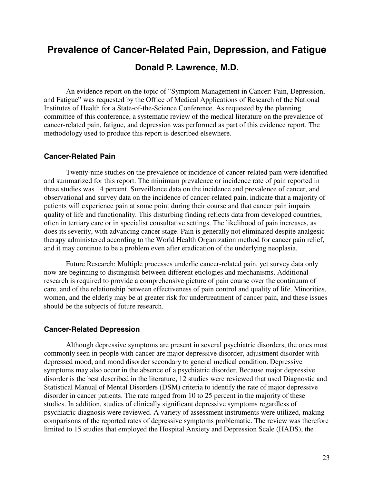# **Prevalence of Cancer-Related Pain, Depression, and Fatigue**

## **Donald P. Lawrence, M.D.**

An evidence report on the topic of "Symptom Management in Cancer: Pain, Depression, and Fatigue" was requested by the Office of Medical Applications of Research of the National Institutes of Health for a State-of-the-Science Conference. As requested by the planning committee of this conference, a systematic review of the medical literature on the prevalence of cancer-related pain, fatigue, and depression was performed as part of this evidence report. The methodology used to produce this report is described elsewhere.

#### **Cancer-Related Pain**

Twenty-nine studies on the prevalence or incidence of cancer-related pain were identified and summarized for this report. The minimum prevalence or incidence rate of pain reported in these studies was 14 percent. Surveillance data on the incidence and prevalence of cancer, and observational and survey data on the incidence of cancer-related pain, indicate that a majority of patients will experience pain at some point during their course and that cancer pain impairs quality of life and functionality. This disturbing finding reflects data from developed countries, often in tertiary care or in specialist consultative settings. The likelihood of pain increases, as does its severity, with advancing cancer stage. Pain is generally not eliminated despite analgesic therapy administered according to the World Health Organization method for cancer pain relief, and it may continue to be a problem even after eradication of the underlying neoplasia.

Future Research: Multiple processes underlie cancer-related pain, yet survey data only now are beginning to distinguish between different etiologies and mechanisms. Additional research is required to provide a comprehensive picture of pain course over the continuum of care, and of the relationship between effectiveness of pain control and quality of life. Minorities, women, and the elderly may be at greater risk for undertreatment of cancer pain, and these issues should be the subjects of future research.

#### **Cancer-Related Depression**

Although depressive symptoms are present in several psychiatric disorders, the ones most commonly seen in people with cancer are major depressive disorder, adjustment disorder with depressed mood, and mood disorder secondary to general medical condition. Depressive symptoms may also occur in the absence of a psychiatric disorder. Because major depressive disorder is the best described in the literature, 12 studies were reviewed that used Diagnostic and Statistical Manual of Mental Disorders (DSM) criteria to identify the rate of major depressive disorder in cancer patients. The rate ranged from 10 to 25 percent in the majority of these studies. In addition, studies of clinically significant depressive symptoms regardless of psychiatric diagnosis were reviewed. A variety of assessment instruments were utilized, making comparisons of the reported rates of depressive symptoms problematic. The review was therefore limited to 15 studies that employed the Hospital Anxiety and Depression Scale (HADS), the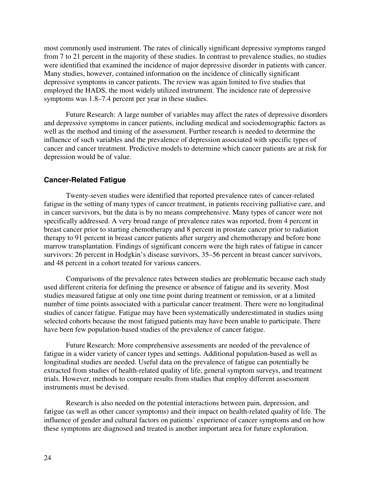most commonly used instrument. The rates of clinically significant depressive symptoms ranged from 7 to 21 percent in the majority of these studies. In contrast to prevalence studies, no studies were identified that examined the incidence of major depressive disorder in patients with cancer. Many studies, however, contained information on the incidence of clinically significant depressive symptoms in cancer patients. The review was again limited to five studies that employed the HADS, the most widely utilized instrument. The incidence rate of depressive symptoms was 1.8–7.4 percent per year in these studies.

Future Research: A large number of variables may affect the rates of depressive disorders and depressive symptoms in cancer patients, including medical and sociodemographic factors as well as the method and timing of the assessment. Further research is needed to determine the influence of such variables and the prevalence of depression associated with specific types of cancer and cancer treatment. Predictive models to determine which cancer patients are at risk for depression would be of value.

#### **Cancer-Related Fatigue**

Twenty-seven studies were identified that reported prevalence rates of cancer-related fatigue in the setting of many types of cancer treatment, in patients receiving palliative care, and in cancer survivors, but the data is by no means comprehensive. Many types of cancer were not specifically addressed. A very broad range of prevalence rates was reported, from 4 percent in breast cancer prior to starting chemotherapy and 8 percent in prostate cancer prior to radiation therapy to 91 percent in breast cancer patients after surgery and chemotherapy and before bone marrow transplantation. Findings of significant concern were the high rates of fatigue in cancer survivors: 26 percent in Hodgkin's disease survivors, 35–56 percent in breast cancer survivors, and 48 percent in a cohort treated for various cancers.

Comparisons of the prevalence rates between studies are problematic because each study used different criteria for defining the presence or absence of fatigue and its severity. Most studies measured fatigue at only one time point during treatment or remission, or at a limited number of time points associated with a particular cancer treatment. There were no longitudinal studies of cancer fatigue. Fatigue may have been systematically underestimated in studies using selected cohorts because the most fatigued patients may have been unable to participate. There have been few population-based studies of the prevalence of cancer fatigue.

Future Research: More comprehensive assessments are needed of the prevalence of fatigue in a wider variety of cancer types and settings. Additional population-based as well as longitudinal studies are needed. Useful data on the prevalence of fatigue can potentially be extracted from studies of health-related quality of life, general symptom surveys, and treatment trials. However, methods to compare results from studies that employ different assessment instruments must be devised.

Research is also needed on the potential interactions between pain, depression, and fatigue (as well as other cancer symptoms) and their impact on health-related quality of life. The influence of gender and cultural factors on patients' experience of cancer symptoms and on how these symptoms are diagnosed and treated is another important area for future exploration.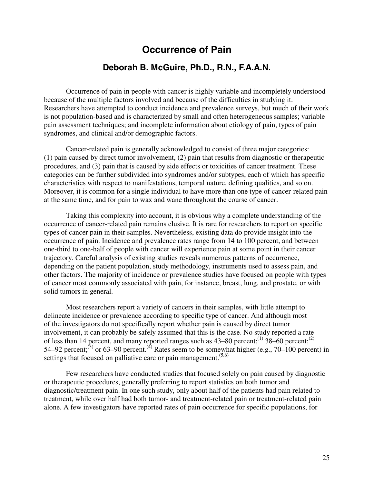# **Occurrence of Pain Deborah B. McGuire, Ph.D., R.N., F.A.A.N.**

Occurrence of pain in people with cancer is highly variable and incompletely understood because of the multiple factors involved and because of the difficulties in studying it. Researchers have attempted to conduct incidence and prevalence surveys, but much of their work is not population-based and is characterized by small and often heterogeneous samples; variable pain assessment techniques; and incomplete information about etiology of pain, types of pain syndromes, and clinical and/or demographic factors.

Cancer-related pain is generally acknowledged to consist of three major categories: (1) pain caused by direct tumor involvement, (2) pain that results from diagnostic or therapeutic procedures, and (3) pain that is caused by side effects or toxicities of cancer treatment. These categories can be further subdivided into syndromes and/or subtypes, each of which has specific characteristics with respect to manifestations, temporal nature, defining qualities, and so on. Moreover, it is common for a single individual to have more than one type of cancer-related pain at the same time, and for pain to wax and wane throughout the course of cancer.

Taking this complexity into account, it is obvious why a complete understanding of the occurrence of cancer-related pain remains elusive. It is rare for researchers to report on specific types of cancer pain in their samples. Nevertheless, existing data do provide insight into the occurrence of pain. Incidence and prevalence rates range from 14 to 100 percent, and between one-third to one-half of people with cancer will experience pain at some point in their cancer trajectory. Careful analysis of existing studies reveals numerous patterns of occurrence, depending on the patient population, study methodology, instruments used to assess pain, and other factors. The majority of incidence or prevalence studies have focused on people with types of cancer most commonly associated with pain, for instance, breast, lung, and prostate, or with solid tumors in general.

Most researchers report a variety of cancers in their samples, with little attempt to delineate incidence or prevalence according to specific type of cancer. And although most of the investigators do not specifically report whether pain is caused by direct tumor involvement, it can probably be safely assumed that this is the case. No study reported a rate of less than 14 percent, and many reported ranges such as  $43-80$  percent;<sup>(1)</sup> 38-60 percent;<sup>(2)</sup> 54–92 percent;<sup>(3)</sup> or 63–90 percent.<sup>(4)</sup> Rates seem to be somewhat higher (e.g., 70–100 percent) in settings that focused on palliative care or pain management.<sup> $(5,6)$ </sup>

Few researchers have conducted studies that focused solely on pain caused by diagnostic or therapeutic procedures, generally preferring to report statistics on both tumor and diagnostic/treatment pain. In one such study, only about half of the patients had pain related to treatment, while over half had both tumor- and treatment-related pain or treatment-related pain alone. A few investigators have reported rates of pain occurrence for specific populations, for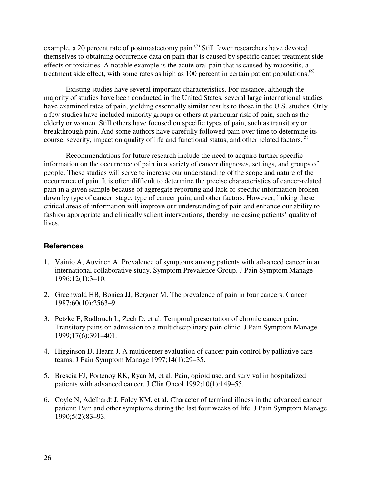example, a 20 percent rate of postmastectomy pain.<sup>(7)</sup> Still fewer researchers have devoted themselves to obtaining occurrence data on pain that is caused by specific cancer treatment side effects or toxicities. A notable example is the acute oral pain that is caused by mucositis, a treatment side effect, with some rates as high as 100 percent in certain patient populations.<sup>(8)</sup>

Existing studies have several important characteristics. For instance, although the majority of studies have been conducted in the United States, several large international studies have examined rates of pain, yielding essentially similar results to those in the U.S. studies. Only a few studies have included minority groups or others at particular risk of pain, such as the elderly or women. Still others have focused on specific types of pain, such as transitory or breakthrough pain. And some authors have carefully followed pain over time to determine its course, severity, impact on quality of life and functional status, and other related factors.<sup>(5)</sup>

Recommendations for future research include the need to acquire further specific information on the occurrence of pain in a variety of cancer diagnoses, settings, and groups of people. These studies will serve to increase our understanding of the scope and nature of the occurrence of pain. It is often difficult to determine the precise characteristics of cancer-related pain in a given sample because of aggregate reporting and lack of specific information broken down by type of cancer, stage, type of cancer pain, and other factors. However, linking these critical areas of information will improve our understanding of pain and enhance our ability to fashion appropriate and clinically salient interventions, thereby increasing patients' quality of lives.

### **References**

- 1. Vainio A, Auvinen A. Prevalence of symptoms among patients with advanced cancer in an international collaborative study. Symptom Prevalence Group. J Pain Symptom Manage 1996;12(1):3–10.
- 2. Greenwald HB, Bonica JJ, Bergner M. The prevalence of pain in four cancers. Cancer 1987;60(10):2563–9.
- 3. Petzke F, Radbruch L, Zech D, et al. Temporal presentation of chronic cancer pain: Transitory pains on admission to a multidisciplinary pain clinic. J Pain Symptom Manage 1999;17(6):391–401.
- 4. Higginson IJ, Hearn J. A multicenter evaluation of cancer pain control by palliative care teams. J Pain Symptom Manage 1997;14(1):29–35.
- 5. Brescia FJ, Portenoy RK, Ryan M, et al. Pain, opioid use, and survival in hospitalized patients with advanced cancer. J Clin Oncol 1992;10(1):149–55.
- 6. Coyle N, Adelhardt J, Foley KM, et al. Character of terminal illness in the advanced cancer patient: Pain and other symptoms during the last four weeks of life. J Pain Symptom Manage 1990;5(2):83–93.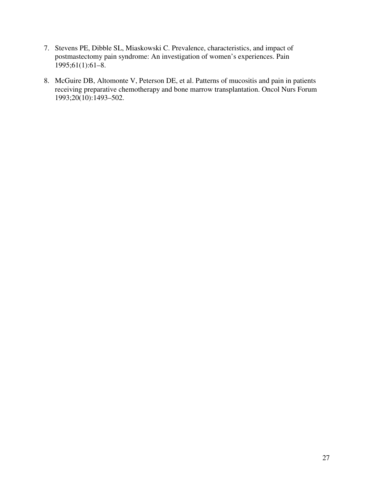- 7. Stevens PE, Dibble SL, Miaskowski C. Prevalence, characteristics, and impact of postmastectomy pain syndrome: An investigation of women's experiences. Pain  $1995;61(1):61-8.$
- 8. McGuire DB, Altomonte V, Peterson DE, et al. Patterns of mucositis and pain in patients receiving preparative chemotherapy and bone marrow transplantation. Oncol Nurs Forum 1993;20(10):1493–502.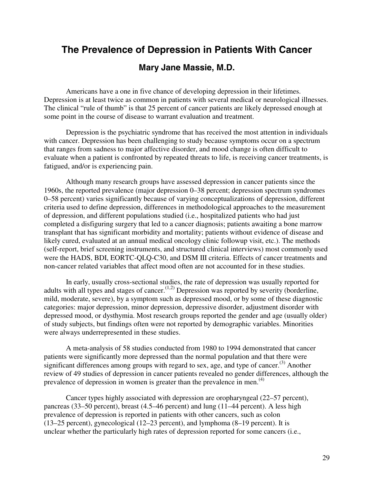# **The Prevalence of Depression in Patients With Cancer**

## **Mary Jane Massie, M.D.**

Americans have a one in five chance of developing depression in their lifetimes. Depression is at least twice as common in patients with several medical or neurological illnesses. The clinical "rule of thumb" is that 25 percent of cancer patients are likely depressed enough at some point in the course of disease to warrant evaluation and treatment.

Depression is the psychiatric syndrome that has received the most attention in individuals with cancer. Depression has been challenging to study because symptoms occur on a spectrum that ranges from sadness to major affective disorder, and mood change is often difficult to evaluate when a patient is confronted by repeated threats to life, is receiving cancer treatments, is fatigued, and/or is experiencing pain.

Although many research groups have assessed depression in cancer patients since the 1960s, the reported prevalence (major depression 0–38 percent; depression spectrum syndromes 0–58 percent) varies significantly because of varying conceptualizations of depression, different criteria used to define depression, differences in methodological approaches to the measurement of depression, and different populations studied (i.e., hospitalized patients who had just completed a disfiguring surgery that led to a cancer diagnosis; patients awaiting a bone marrow transplant that has significant morbidity and mortality; patients without evidence of disease and likely cured, evaluated at an annual medical oncology clinic followup visit, etc.). The methods (self-report, brief screening instruments, and structured clinical interviews) most commonly used were the HADS, BDI, EORTC-QLQ-C30, and DSM III criteria. Effects of cancer treatments and non-cancer related variables that affect mood often are not accounted for in these studies.

In early, usually cross-sectional studies, the rate of depression was usually reported for adults with all types and stages of cancer.<sup> $(1,2)$ </sup> Depression was reported by severity (borderline, mild, moderate, severe), by a symptom such as depressed mood, or by some of these diagnostic categories: major depression, minor depression, depressive disorder, adjustment disorder with depressed mood, or dysthymia. Most research groups reported the gender and age (usually older) of study subjects, but findings often were not reported by demographic variables. Minorities were always underrepresented in these studies.

A meta-analysis of 58 studies conducted from 1980 to 1994 demonstrated that cancer patients were significantly more depressed than the normal population and that there were significant differences among groups with regard to sex, age, and type of cancer.<sup>(3)</sup> Another review of 49 studies of depression in cancer patients revealed no gender differences, although the prevalence of depression in women is greater than the prevalence in men.<sup> $(4)$ </sup>

Cancer types highly associated with depression are oropharyngeal (22–57 percent), pancreas (33–50 percent), breast (4.5–46 percent) and lung (11–44 percent). A less high prevalence of depression is reported in patients with other cancers, such as colon (13–25 percent), gynecological (12–23 percent), and lymphoma (8–19 percent). It is unclear whether the particularly high rates of depression reported for some cancers (i.e.,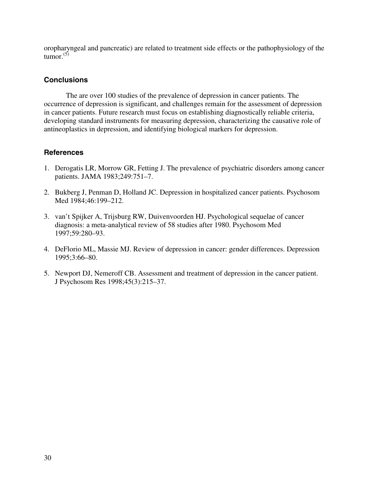oropharyngeal and pancreatic) are related to treatment side effects or the pathophysiology of the  $t$ tumor.  $(5)$ 

## **Conclusions**

The are over 100 studies of the prevalence of depression in cancer patients. The occurrence of depression is significant, and challenges remain for the assessment of depression in cancer patients. Future research must focus on establishing diagnostically reliable criteria, developing standard instruments for measuring depression, characterizing the causative role of antineoplastics in depression, and identifying biological markers for depression.

### **References**

- 1. Derogatis LR, Morrow GR, Fetting J. The prevalence of psychiatric disorders among cancer patients. JAMA 1983;249:751–7.
- 2. Bukberg J, Penman D, Holland JC. Depression in hospitalized cancer patients. Psychosom Med 1984;46:199–212.
- 3. van't Spijker A, Trijsburg RW, Duivenvoorden HJ. Psychological sequelae of cancer diagnosis: a meta-analytical review of 58 studies after 1980. Psychosom Med 1997;59:280–93.
- 4. DeFlorio ML, Massie MJ. Review of depression in cancer: gender differences. Depression 1995;3:66–80.
- 5. Newport DJ, Nemeroff CB. Assessment and treatment of depression in the cancer patient. J Psychosom Res 1998;45(3):215–37.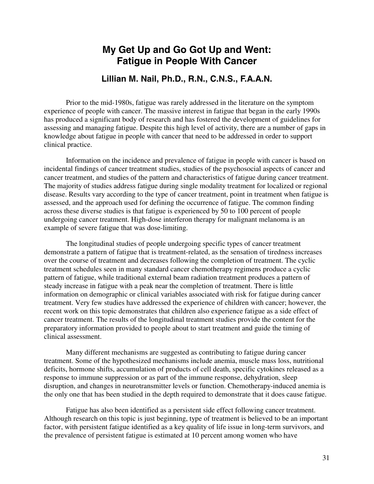# **My Get Up and Go Got Up and Went: Fatigue in People With Cancer**

# **Lillian M. Nail, Ph.D., R.N., C.N.S., F.A.A.N.**

Prior to the mid-1980s, fatigue was rarely addressed in the literature on the symptom experience of people with cancer. The massive interest in fatigue that began in the early 1990s has produced a significant body of research and has fostered the development of guidelines for assessing and managing fatigue. Despite this high level of activity, there are a number of gaps in knowledge about fatigue in people with cancer that need to be addressed in order to support clinical practice.

Information on the incidence and prevalence of fatigue in people with cancer is based on incidental findings of cancer treatment studies, studies of the psychosocial aspects of cancer and cancer treatment, and studies of the pattern and characteristics of fatigue during cancer treatment. The majority of studies address fatigue during single modality treatment for localized or regional disease. Results vary according to the type of cancer treatment, point in treatment when fatigue is assessed, and the approach used for defining the occurrence of fatigue. The common finding across these diverse studies is that fatigue is experienced by 50 to 100 percent of people undergoing cancer treatment. High-dose interferon therapy for malignant melanoma is an example of severe fatigue that was dose-limiting.

The longitudinal studies of people undergoing specific types of cancer treatment demonstrate a pattern of fatigue that is treatment-related, as the sensation of tiredness increases over the course of treatment and decreases following the completion of treatment. The cyclic treatment schedules seen in many standard cancer chemotherapy regimens produce a cyclic pattern of fatigue, while traditional external beam radiation treatment produces a pattern of steady increase in fatigue with a peak near the completion of treatment. There is little information on demographic or clinical variables associated with risk for fatigue during cancer treatment. Very few studies have addressed the experience of children with cancer; however, the recent work on this topic demonstrates that children also experience fatigue as a side effect of cancer treatment. The results of the longitudinal treatment studies provide the content for the preparatory information provided to people about to start treatment and guide the timing of clinical assessment.

Many different mechanisms are suggested as contributing to fatigue during cancer treatment. Some of the hypothesized mechanisms include anemia, muscle mass loss, nutritional deficits, hormone shifts, accumulation of products of cell death, specific cytokines released as a response to immune suppression or as part of the immune response, dehydration, sleep disruption, and changes in neurotransmitter levels or function. Chemotherapy-induced anemia is the only one that has been studied in the depth required to demonstrate that it does cause fatigue.

Fatigue has also been identified as a persistent side effect following cancer treatment. Although research on this topic is just beginning, type of treatment is believed to be an important factor, with persistent fatigue identified as a key quality of life issue in long-term survivors, and the prevalence of persistent fatigue is estimated at 10 percent among women who have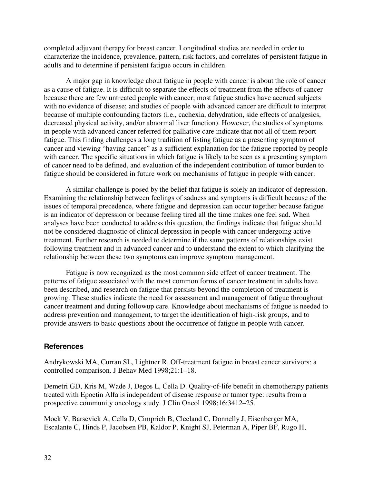completed adjuvant therapy for breast cancer. Longitudinal studies are needed in order to characterize the incidence, prevalence, pattern, risk factors, and correlates of persistent fatigue in adults and to determine if persistent fatigue occurs in children.

A major gap in knowledge about fatigue in people with cancer is about the role of cancer as a cause of fatigue. It is difficult to separate the effects of treatment from the effects of cancer because there are few untreated people with cancer; most fatigue studies have accrued subjects with no evidence of disease; and studies of people with advanced cancer are difficult to interpret because of multiple confounding factors (i.e., cachexia, dehydration, side effects of analgesics, decreased physical activity, and/or abnormal liver function). However, the studies of symptoms in people with advanced cancer referred for palliative care indicate that not all of them report fatigue. This finding challenges a long tradition of listing fatigue as a presenting symptom of cancer and viewing "having cancer" as a sufficient explanation for the fatigue reported by people with cancer. The specific situations in which fatigue is likely to be seen as a presenting symptom of cancer need to be defined, and evaluation of the independent contribution of tumor burden to fatigue should be considered in future work on mechanisms of fatigue in people with cancer.

A similar challenge is posed by the belief that fatigue is solely an indicator of depression. Examining the relationship between feelings of sadness and symptoms is difficult because of the issues of temporal precedence, where fatigue and depression can occur together because fatigue is an indicator of depression or because feeling tired all the time makes one feel sad. When analyses have been conducted to address this question, the findings indicate that fatigue should not be considered diagnostic of clinical depression in people with cancer undergoing active treatment. Further research is needed to determine if the same patterns of relationships exist following treatment and in advanced cancer and to understand the extent to which clarifying the relationship between these two symptoms can improve symptom management.

Fatigue is now recognized as the most common side effect of cancer treatment. The patterns of fatigue associated with the most common forms of cancer treatment in adults have been described, and research on fatigue that persists beyond the completion of treatment is growing. These studies indicate the need for assessment and management of fatigue throughout cancer treatment and during followup care. Knowledge about mechanisms of fatigue is needed to address prevention and management, to target the identification of high-risk groups, and to provide answers to basic questions about the occurrence of fatigue in people with cancer.

### **References**

Andrykowski MA, Curran SL, Lightner R. Off-treatment fatigue in breast cancer survivors: a controlled comparison. J Behav Med 1998;21:1–18.

Demetri GD, Kris M, Wade J, Degos L, Cella D. Quality-of-life benefit in chemotherapy patients treated with Epoetin Alfa is independent of disease response or tumor type: results from a prospective community oncology study. J Clin Oncol 1998;16:3412–25.

Mock V, Barsevick A, Cella D, Cimprich B, Cleeland C, Donnelly J, Eisenberger MA, Escalante C, Hinds P, Jacobsen PB, Kaldor P, Knight SJ, Peterman A, Piper BF, Rugo H,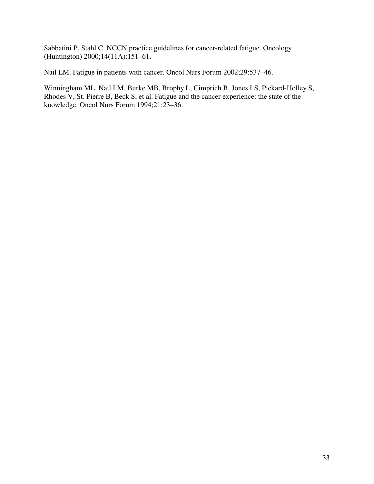Sabbatini P, Stahl C. NCCN practice guidelines for cancer-related fatigue. Oncology (Huntington) 2000;14(11A):151–61.

Nail LM. Fatigue in patients with cancer. Oncol Nurs Forum 2002;29:537–46.

Winningham ML, Nail LM, Burke MB, Brophy L, Cimprich B, Jones LS, Pickard-Holley S, Rhodes V, St. Pierre B, Beck S, et al. Fatigue and the cancer experience: the state of the knowledge. Oncol Nurs Forum 1994;21:23–36.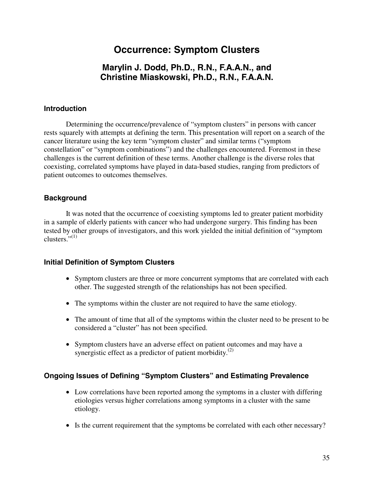# **Occurrence: Symptom Clusters**

## **Marylin J. Dodd, Ph.D., R.N., F.A.A.N., and Christine Miaskowski, Ph.D., R.N., F.A.A.N.**

### **Introduction**

Determining the occurrence/prevalence of "symptom clusters" in persons with cancer rests squarely with attempts at defining the term. This presentation will report on a search of the cancer literature using the key term "symptom cluster" and similar terms ("symptom constellation" or "symptom combinations") and the challenges encountered. Foremost in these challenges is the current definition of these terms. Another challenge is the diverse roles that coexisting, correlated symptoms have played in data-based studies, ranging from predictors of patient outcomes to outcomes themselves.

### **Background**

It was noted that the occurrence of coexisting symptoms led to greater patient morbidity in a sample of elderly patients with cancer who had undergone surgery. This finding has been tested by other groups of investigators, and this work yielded the initial definition of "symptom clusters."(1)

#### **Initial Definition of Symptom Clusters**

- Symptom clusters are three or more concurrent symptoms that are correlated with each other. The suggested strength of the relationships has not been specified.
- The symptoms within the cluster are not required to have the same etiology.
- The amount of time that all of the symptoms within the cluster need to be present to be considered a "cluster" has not been specified.
- Symptom clusters have an adverse effect on patient outcomes and may have a synergistic effect as a predictor of patient morbidity.<sup>(2)</sup>

### **Ongoing Issues of Defining "Symptom Clusters" and Estimating Prevalence**

- Low correlations have been reported among the symptoms in a cluster with differing etiologies versus higher correlations among symptoms in a cluster with the same etiology.
- Is the current requirement that the symptoms be correlated with each other necessary?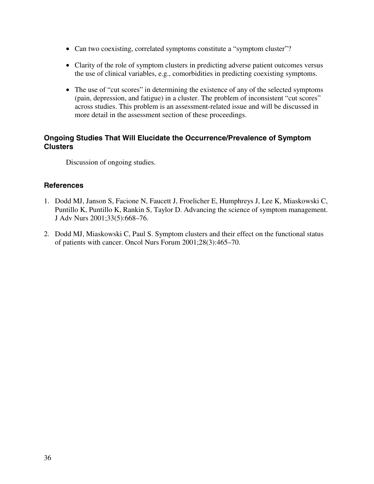- Can two coexisting, correlated symptoms constitute a "symptom cluster"?
- Clarity of the role of symptom clusters in predicting adverse patient outcomes versus the use of clinical variables, e.g., comorbidities in predicting coexisting symptoms.
- The use of "cut scores" in determining the existence of any of the selected symptoms (pain, depression, and fatigue) in a cluster. The problem of inconsistent "cut scores" across studies. This problem is an assessment-related issue and will be discussed in more detail in the assessment section of these proceedings.

## **Ongoing Studies That Will Elucidate the Occurrence/Prevalence of Symptom Clusters**

Discussion of ongoing studies.

### **References**

- 1. Dodd MJ, Janson S, Facione N, Faucett J, Froelicher E, Humphreys J, Lee K, Miaskowski C, Puntillo K, Puntillo K, Rankin S, Taylor D. Advancing the science of symptom management. J Adv Nurs 2001;33(5):668–76.
- 2. Dodd MJ, Miaskowski C, Paul S. Symptom clusters and their effect on the functional status of patients with cancer. Oncol Nurs Forum 2001;28(3):465–70.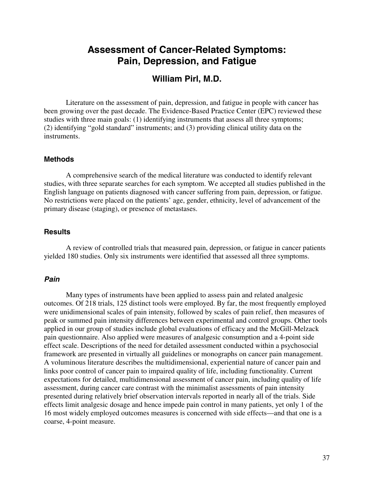# **Assessment of Cancer-Related Symptoms: Pain, Depression, and Fatigue**

# **William Pirl, M.D.**

Literature on the assessment of pain, depression, and fatigue in people with cancer has been growing over the past decade. The Evidence-Based Practice Center (EPC) reviewed these studies with three main goals: (1) identifying instruments that assess all three symptoms; (2) identifying "gold standard" instruments; and (3) providing clinical utility data on the instruments.

#### **Methods**

A comprehensive search of the medical literature was conducted to identify relevant studies, with three separate searches for each symptom. We accepted all studies published in the English language on patients diagnosed with cancer suffering from pain, depression, or fatigue. No restrictions were placed on the patients' age, gender, ethnicity, level of advancement of the primary disease (staging), or presence of metastases.

#### **Results**

A review of controlled trials that measured pain, depression, or fatigue in cancer patients yielded 180 studies. Only six instruments were identified that assessed all three symptoms.

#### *Pain*

Many types of instruments have been applied to assess pain and related analgesic outcomes. Of 218 trials, 125 distinct tools were employed. By far, the most frequently employed were unidimensional scales of pain intensity, followed by scales of pain relief, then measures of peak or summed pain intensity differences between experimental and control groups. Other tools applied in our group of studies include global evaluations of efficacy and the McGill-Melzack pain questionnaire. Also applied were measures of analgesic consumption and a 4-point side effect scale. Descriptions of the need for detailed assessment conducted within a psychosocial framework are presented in virtually all guidelines or monographs on cancer pain management. A voluminous literature describes the multidimensional, experiential nature of cancer pain and links poor control of cancer pain to impaired quality of life, including functionality. Current expectations for detailed, multidimensional assessment of cancer pain, including quality of life assessment, during cancer care contrast with the minimalist assessments of pain intensity presented during relatively brief observation intervals reported in nearly all of the trials. Side effects limit analgesic dosage and hence impede pain control in many patients, yet only 1 of the 16 most widely employed outcomes measures is concerned with side effects—and that one is a coarse, 4-point measure.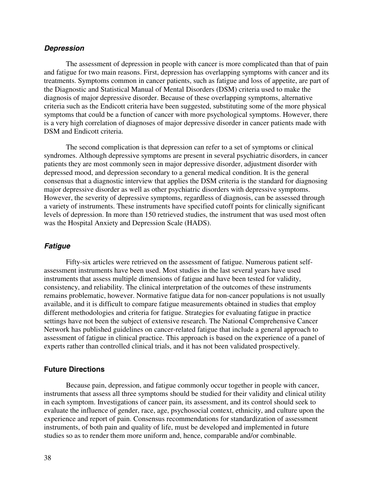#### *Depression*

The assessment of depression in people with cancer is more complicated than that of pain and fatigue for two main reasons. First, depression has overlapping symptoms with cancer and its treatments. Symptoms common in cancer patients, such as fatigue and loss of appetite, are part of the Diagnostic and Statistical Manual of Mental Disorders (DSM) criteria used to make the diagnosis of major depressive disorder. Because of these overlapping symptoms, alternative criteria such as the Endicott criteria have been suggested, substituting some of the more physical symptoms that could be a function of cancer with more psychological symptoms. However, there is a very high correlation of diagnoses of major depressive disorder in cancer patients made with DSM and Endicott criteria.

The second complication is that depression can refer to a set of symptoms or clinical syndromes. Although depressive symptoms are present in several psychiatric disorders, in cancer patients they are most commonly seen in major depressive disorder, adjustment disorder with depressed mood, and depression secondary to a general medical condition. It is the general consensus that a diagnostic interview that applies the DSM criteria is the standard for diagnosing major depressive disorder as well as other psychiatric disorders with depressive symptoms. However, the severity of depressive symptoms, regardless of diagnosis, can be assessed through a variety of instruments. These instruments have specified cutoff points for clinically significant levels of depression. In more than 150 retrieved studies, the instrument that was used most often was the Hospital Anxiety and Depression Scale (HADS).

### *Fatigue*

Fifty-six articles were retrieved on the assessment of fatigue. Numerous patient selfassessment instruments have been used. Most studies in the last several years have used instruments that assess multiple dimensions of fatigue and have been tested for validity, consistency, and reliability. The clinical interpretation of the outcomes of these instruments remains problematic, however. Normative fatigue data for non-cancer populations is not usually available, and it is difficult to compare fatigue measurements obtained in studies that employ different methodologies and criteria for fatigue. Strategies for evaluating fatigue in practice settings have not been the subject of extensive research. The National Comprehensive Cancer Network has published guidelines on cancer-related fatigue that include a general approach to assessment of fatigue in clinical practice. This approach is based on the experience of a panel of experts rather than controlled clinical trials, and it has not been validated prospectively.

#### **Future Directions**

Because pain, depression, and fatigue commonly occur together in people with cancer, instruments that assess all three symptoms should be studied for their validity and clinical utility in each symptom. Investigations of cancer pain, its assessment, and its control should seek to evaluate the influence of gender, race, age, psychosocial context, ethnicity, and culture upon the experience and report of pain. Consensus recommendations for standardization of assessment instruments, of both pain and quality of life, must be developed and implemented in future studies so as to render them more uniform and, hence, comparable and/or combinable.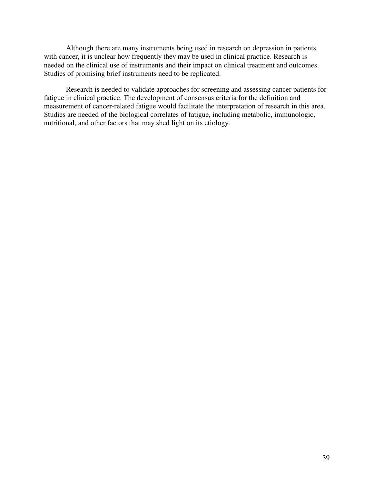Although there are many instruments being used in research on depression in patients with cancer, it is unclear how frequently they may be used in clinical practice. Research is needed on the clinical use of instruments and their impact on clinical treatment and outcomes. Studies of promising brief instruments need to be replicated.

Research is needed to validate approaches for screening and assessing cancer patients for fatigue in clinical practice. The development of consensus criteria for the definition and measurement of cancer-related fatigue would facilitate the interpretation of research in this area. Studies are needed of the biological correlates of fatigue, including metabolic, immunologic, nutritional, and other factors that may shed light on its etiology.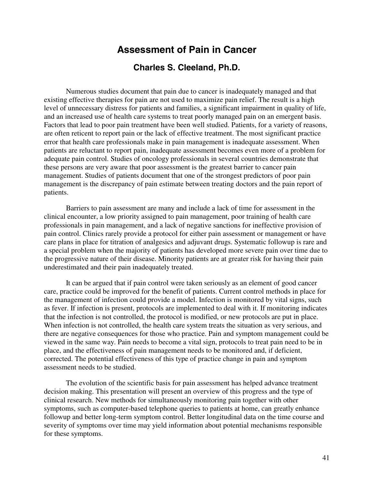# **Assessment of Pain in Cancer**

## **Charles S. Cleeland, Ph.D.**

Numerous studies document that pain due to cancer is inadequately managed and that existing effective therapies for pain are not used to maximize pain relief. The result is a high level of unnecessary distress for patients and families, a significant impairment in quality of life, and an increased use of health care systems to treat poorly managed pain on an emergent basis. Factors that lead to poor pain treatment have been well studied. Patients, for a variety of reasons, are often reticent to report pain or the lack of effective treatment. The most significant practice error that health care professionals make in pain management is inadequate assessment. When patients are reluctant to report pain, inadequate assessment becomes even more of a problem for adequate pain control. Studies of oncology professionals in several countries demonstrate that these persons are very aware that poor assessment is the greatest barrier to cancer pain management. Studies of patients document that one of the strongest predictors of poor pain management is the discrepancy of pain estimate between treating doctors and the pain report of patients.

Barriers to pain assessment are many and include a lack of time for assessment in the clinical encounter, a low priority assigned to pain management, poor training of health care professionals in pain management, and a lack of negative sanctions for ineffective provision of pain control. Clinics rarely provide a protocol for either pain assessment or management or have care plans in place for titration of analgesics and adjuvant drugs. Systematic followup is rare and a special problem when the majority of patients has developed more severe pain over time due to the progressive nature of their disease. Minority patients are at greater risk for having their pain underestimated and their pain inadequately treated.

It can be argued that if pain control were taken seriously as an element of good cancer care, practice could be improved for the benefit of patients. Current control methods in place for the management of infection could provide a model. Infection is monitored by vital signs, such as fever. If infection is present, protocols are implemented to deal with it. If monitoring indicates that the infection is not controlled, the protocol is modified, or new protocols are put in place. When infection is not controlled, the health care system treats the situation as very serious, and there are negative consequences for those who practice. Pain and symptom management could be viewed in the same way. Pain needs to become a vital sign, protocols to treat pain need to be in place, and the effectiveness of pain management needs to be monitored and, if deficient, corrected. The potential effectiveness of this type of practice change in pain and symptom assessment needs to be studied.

The evolution of the scientific basis for pain assessment has helped advance treatment decision making. This presentation will present an overview of this progress and the type of clinical research. New methods for simultaneously monitoring pain together with other symptoms, such as computer-based telephone queries to patients at home, can greatly enhance followup and better long-term symptom control. Better longitudinal data on the time course and severity of symptoms over time may yield information about potential mechanisms responsible for these symptoms.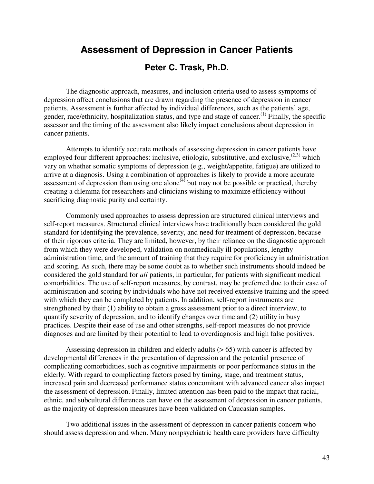# **Assessment of Depression in Cancer Patients**

## **Peter C. Trask, Ph.D.**

The diagnostic approach, measures, and inclusion criteria used to assess symptoms of depression affect conclusions that are drawn regarding the presence of depression in cancer patients. Assessment is further affected by individual differences, such as the patients' age, gender, race/ethnicity, hospitalization status, and type and stage of cancer.<sup>(1)</sup> Finally, the specific assessor and the timing of the assessment also likely impact conclusions about depression in cancer patients.

Attempts to identify accurate methods of assessing depression in cancer patients have employed four different approaches: inclusive, etiologic, substitutive, and exclusive,  $(2,3)$  which vary on whether somatic symptoms of depression (e.g., weight/appetite, fatigue) are utilized to arrive at a diagnosis. Using a combination of approaches is likely to provide a more accurate assessment of depression than using one alone<sup> $(4)$ </sup> but may not be possible or practical, thereby creating a dilemma for researchers and clinicians wishing to maximize efficiency without sacrificing diagnostic purity and certainty.

Commonly used approaches to assess depression are structured clinical interviews and self-report measures. Structured clinical interviews have traditionally been considered the gold standard for identifying the prevalence, severity, and need for treatment of depression, because of their rigorous criteria. They are limited, however, by their reliance on the diagnostic approach from which they were developed, validation on nonmedically ill populations, lengthy administration time, and the amount of training that they require for proficiency in administration and scoring. As such, there may be some doubt as to whether such instruments should indeed be considered the gold standard for *all* patients, in particular, for patients with significant medical comorbidities. The use of self-report measures, by contrast, may be preferred due to their ease of administration and scoring by individuals who have not received extensive training and the speed with which they can be completed by patients. In addition, self-report instruments are strengthened by their (1) ability to obtain a gross assessment prior to a direct interview, to quantify severity of depression, and to identify changes over time and (2) utility in busy practices. Despite their ease of use and other strengths, self-report measures do not provide diagnoses and are limited by their potential to lead to overdiagnosis and high false positives.

Assessing depression in children and elderly adults (> 65) with cancer is affected by developmental differences in the presentation of depression and the potential presence of complicating comorbidities, such as cognitive impairments or poor performance status in the elderly. With regard to complicating factors posed by timing, stage, and treatment status, increased pain and decreased performance status concomitant with advanced cancer also impact the assessment of depression. Finally, limited attention has been paid to the impact that racial, ethnic, and subcultural differences can have on the assessment of depression in cancer patients, as the majority of depression measures have been validated on Caucasian samples.

Two additional issues in the assessment of depression in cancer patients concern who should assess depression and when. Many nonpsychiatric health care providers have difficulty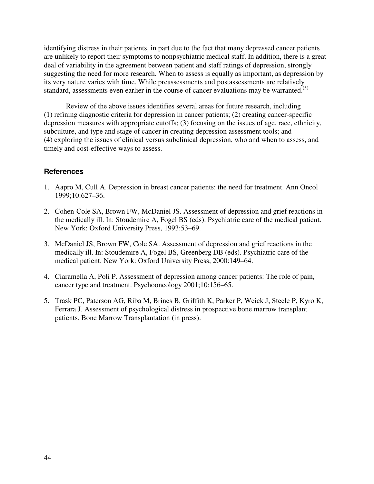identifying distress in their patients, in part due to the fact that many depressed cancer patients are unlikely to report their symptoms to nonpsychiatric medical staff. In addition, there is a great deal of variability in the agreement between patient and staff ratings of depression, strongly suggesting the need for more research. When to assess is equally as important, as depression by its very nature varies with time. While preassessments and postassessments are relatively standard, assessments even earlier in the course of cancer evaluations may be warranted.<sup>(5)</sup>

Review of the above issues identifies several areas for future research, including (1) refining diagnostic criteria for depression in cancer patients; (2) creating cancer-specific depression measures with appropriate cutoffs; (3) focusing on the issues of age, race, ethnicity, subculture, and type and stage of cancer in creating depression assessment tools; and (4) exploring the issues of clinical versus subclinical depression, who and when to assess, and timely and cost-effective ways to assess.

- 1. Aapro M, Cull A. Depression in breast cancer patients: the need for treatment. Ann Oncol 1999;10:627–36.
- 2. Cohen-Cole SA, Brown FW, McDaniel JS. Assessment of depression and grief reactions in the medically ill. In: Stoudemire A, Fogel BS (eds). Psychiatric care of the medical patient. New York: Oxford University Press, 1993:53–69.
- 3. McDaniel JS, Brown FW, Cole SA. Assessment of depression and grief reactions in the medically ill. In: Stoudemire A, Fogel BS, Greenberg DB (eds). Psychiatric care of the medical patient. New York: Oxford University Press, 2000:149–64.
- 4. Ciaramella A, Poli P. Assessment of depression among cancer patients: The role of pain, cancer type and treatment. Psychooncology 2001;10:156–65.
- 5. Trask PC, Paterson AG, Riba M, Brines B, Griffith K, Parker P, Weick J, Steele P, Kyro K, Ferrara J. Assessment of psychological distress in prospective bone marrow transplant patients. Bone Marrow Transplantation (in press).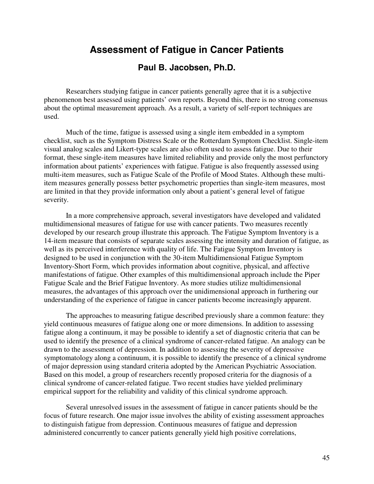# **Assessment of Fatigue in Cancer Patients**

## **Paul B. Jacobsen, Ph.D.**

Researchers studying fatigue in cancer patients generally agree that it is a subjective phenomenon best assessed using patients' own reports. Beyond this, there is no strong consensus about the optimal measurement approach. As a result, a variety of self-report techniques are used.

Much of the time, fatigue is assessed using a single item embedded in a symptom checklist, such as the Symptom Distress Scale or the Rotterdam Symptom Checklist. Single-item visual analog scales and Likert-type scales are also often used to assess fatigue. Due to their format, these single-item measures have limited reliability and provide only the most perfunctory information about patients' experiences with fatigue. Fatigue is also frequently assessed using multi-item measures, such as Fatigue Scale of the Profile of Mood States. Although these multiitem measures generally possess better psychometric properties than single-item measures, most are limited in that they provide information only about a patient's general level of fatigue severity.

In a more comprehensive approach, several investigators have developed and validated multidimensional measures of fatigue for use with cancer patients. Two measures recently developed by our research group illustrate this approach. The Fatigue Symptom Inventory is a 14-item measure that consists of separate scales assessing the intensity and duration of fatigue, as well as its perceived interference with quality of life. The Fatigue Symptom Inventory is designed to be used in conjunction with the 30-item Multidimensional Fatigue Symptom Inventory-Short Form, which provides information about cognitive, physical, and affective manifestations of fatigue. Other examples of this multidimensional approach include the Piper Fatigue Scale and the Brief Fatigue Inventory. As more studies utilize multidimensional measures, the advantages of this approach over the unidimensional approach in furthering our understanding of the experience of fatigue in cancer patients become increasingly apparent.

The approaches to measuring fatigue described previously share a common feature: they yield continuous measures of fatigue along one or more dimensions. In addition to assessing fatigue along a continuum, it may be possible to identify a set of diagnostic criteria that can be used to identify the presence of a clinical syndrome of cancer-related fatigue. An analogy can be drawn to the assessment of depression. In addition to assessing the severity of depressive symptomatology along a continuum, it is possible to identify the presence of a clinical syndrome of major depression using standard criteria adopted by the American Psychiatric Association. Based on this model, a group of researchers recently proposed criteria for the diagnosis of a clinical syndrome of cancer-related fatigue. Two recent studies have yielded preliminary empirical support for the reliability and validity of this clinical syndrome approach.

Several unresolved issues in the assessment of fatigue in cancer patients should be the focus of future research. One major issue involves the ability of existing assessment approaches to distinguish fatigue from depression. Continuous measures of fatigue and depression administered concurrently to cancer patients generally yield high positive correlations,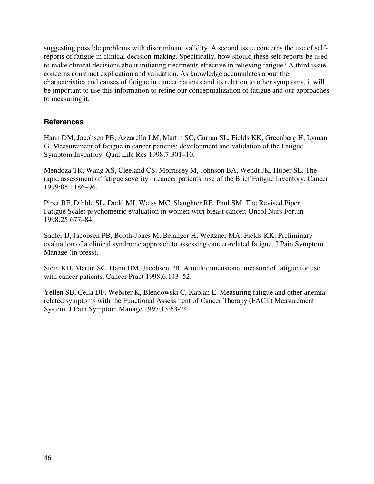suggesting possible problems with discriminant validity. A second issue concerns the use of selfreports of fatigue in clinical decision-making. Specifically, how should these self-reports be used to make clinical decisions about initiating treatments effective in relieving fatigue? A third issue concerns construct explication and validation. As knowledge accumulates about the characteristics and causes of fatigue in cancer patients and its relation to other symptoms, it will be important to use this information to refine our conceptualization of fatigue and our approaches to measuring it.

### **References**

Hann DM, Jacobsen PB, Azzarello LM, Martin SC, Curran SL, Fields KK, Greenberg H, Lyman G. Measurement of fatigue in cancer patients: development and validation of the Fatigue Symptom Inventory. Qual Life Res 1998;7:301–10.

Mendoza TR, Wang XS, Cleeland CS, Morrissey M, Johnson BA, Wendt JK, Huber SL. The rapid assessment of fatigue severity in cancer patients: use of the Brief Fatigue Inventory. Cancer 1999;85:1186–96.

Piper BF, Dibble SL, Dodd MJ, Weiss MC, Slaughter RE, Paul SM. The Revised Piper Fatigue Scale: psychometric evaluation in women with breast cancer. Oncol Nurs Forum 1998;25:677–84.

Sadler IJ, Jacobsen PB, Booth-Jones M, Belanger H, Weitzner MA, Fields KK. Preliminary evaluation of a clinical syndrome approach to assessing cancer-related fatigue. J Pain Symptom Manage (in press).

Stein KD, Martin SC, Hann DM, Jacobsen PB. A multidimensional measure of fatigue for use with cancer patients. Cancer Pract 1998;6:143–52.

Yellen SB, Cella DF, Webster K, Blendowski C, Kaplan E. Measuring fatigue and other anemiarelated symptoms with the Functional Assessment of Cancer Therapy (FACT) Measurement System. J Pain Symptom Manage 1997;13:63-74.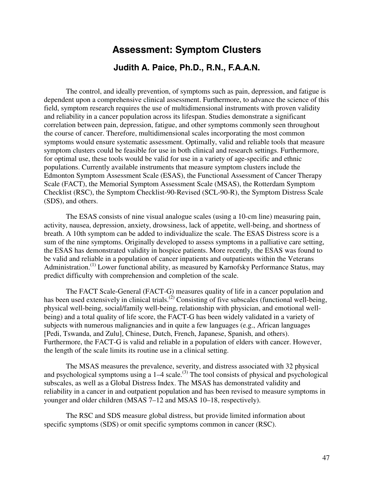# **Assessment: Symptom Clusters Judith A. Paice, Ph.D., R.N., F.A.A.N.**

The control, and ideally prevention, of symptoms such as pain, depression, and fatigue is dependent upon a comprehensive clinical assessment. Furthermore, to advance the science of this field, symptom research requires the use of multidimensional instruments with proven validity and reliability in a cancer population across its lifespan. Studies demonstrate a significant correlation between pain, depression, fatigue, and other symptoms commonly seen throughout the course of cancer. Therefore, multidimensional scales incorporating the most common symptoms would ensure systematic assessment. Optimally, valid and reliable tools that measure symptom clusters could be feasible for use in both clinical and research settings. Furthermore, for optimal use, these tools would be valid for use in a variety of age-specific and ethnic populations. Currently available instruments that measure symptom clusters include the Edmonton Symptom Assessment Scale (ESAS), the Functional Assessment of Cancer Therapy Scale (FACT), the Memorial Symptom Assessment Scale (MSAS), the Rotterdam Symptom Checklist (RSC), the Symptom Checklist-90-Revised (SCL-90-R), the Symptom Distress Scale (SDS), and others.

The ESAS consists of nine visual analogue scales (using a 10-cm line) measuring pain, activity, nausea, depression, anxiety, drowsiness, lack of appetite, well-being, and shortness of breath. A 10th symptom can be added to individualize the scale. The ESAS Distress score is a sum of the nine symptoms. Originally developed to assess symptoms in a palliative care setting, the ESAS has demonstrated validity in hospice patients. More recently, the ESAS was found to be valid and reliable in a population of cancer inpatients and outpatients within the Veterans Administration.<sup>(1)</sup> Lower functional ability, as measured by Karnofsky Performance Status, may predict difficulty with comprehension and completion of the scale.

The FACT Scale-General (FACT-G) measures quality of life in a cancer population and has been used extensively in clinical trials.<sup>(2)</sup> Consisting of five subscales (functional well-being, physical well-being, social/family well-being, relationship with physician, and emotional wellbeing) and a total quality of life score, the FACT-G has been widely validated in a variety of subjects with numerous malignancies and in quite a few languages (e.g., African languages [Pedi, Tswanda, and Zulu], Chinese, Dutch, French, Japanese, Spanish, and others). Furthermore, the FACT-G is valid and reliable in a population of elders with cancer. However, the length of the scale limits its routine use in a clinical setting.

The MSAS measures the prevalence, severity, and distress associated with 32 physical and psychological symptoms using a  $1-4$  scale.<sup>(3)</sup> The tool consists of physical and psychological subscales, as well as a Global Distress Index. The MSAS has demonstrated validity and reliability in a cancer in and outpatient population and has been revised to measure symptoms in younger and older children (MSAS 7–12 and MSAS 10–18, respectively).

The RSC and SDS measure global distress, but provide limited information about specific symptoms (SDS) or omit specific symptoms common in cancer (RSC).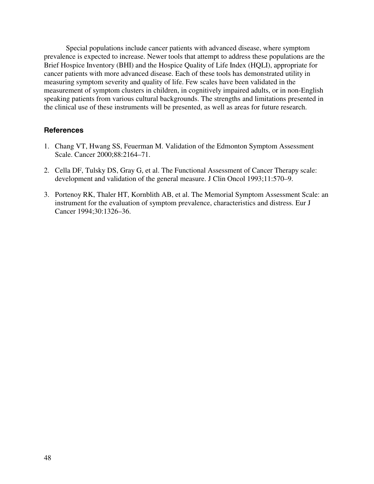Special populations include cancer patients with advanced disease, where symptom prevalence is expected to increase. Newer tools that attempt to address these populations are the Brief Hospice Inventory (BHI) and the Hospice Quality of Life Index (HQLI), appropriate for cancer patients with more advanced disease. Each of these tools has demonstrated utility in measuring symptom severity and quality of life. Few scales have been validated in the measurement of symptom clusters in children, in cognitively impaired adults, or in non-English speaking patients from various cultural backgrounds. The strengths and limitations presented in the clinical use of these instruments will be presented, as well as areas for future research.

- 1. Chang VT, Hwang SS, Feuerman M. Validation of the Edmonton Symptom Assessment Scale. Cancer 2000;88:2164–71.
- 2. Cella DF, Tulsky DS, Gray G, et al. The Functional Assessment of Cancer Therapy scale: development and validation of the general measure. J Clin Oncol 1993;11:570–9.
- 3. Portenoy RK, Thaler HT, Kornblith AB, et al. The Memorial Symptom Assessment Scale: an instrument for the evaluation of symptom prevalence, characteristics and distress. Eur J Cancer 1994;30:1326–36.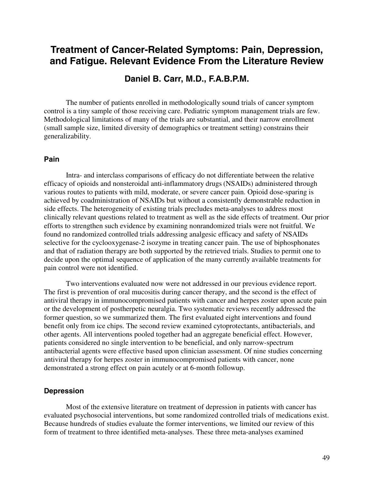# **Treatment of Cancer-Related Symptoms: Pain, Depression, and Fatigue. Relevant Evidence From the Literature Review**

## **Daniel B. Carr, M.D., F.A.B.P.M.**

The number of patients enrolled in methodologically sound trials of cancer symptom control is a tiny sample of those receiving care. Pediatric symptom management trials are few. Methodological limitations of many of the trials are substantial, and their narrow enrollment (small sample size, limited diversity of demographics or treatment setting) constrains their generalizability.

### **Pain**

Intra- and interclass comparisons of efficacy do not differentiate between the relative efficacy of opioids and nonsteroidal anti-inflammatory drugs (NSAIDs) administered through various routes to patients with mild, moderate, or severe cancer pain. Opioid dose-sparing is achieved by coadministration of NSAIDs but without a consistently demonstrable reduction in side effects. The heterogeneity of existing trials precludes meta-analyses to address most clinically relevant questions related to treatment as well as the side effects of treatment. Our prior efforts to strengthen such evidence by examining nonrandomized trials were not fruitful. We found no randomized controlled trials addressing analgesic efficacy and safety of NSAIDs selective for the cyclooxygenase-2 isozyme in treating cancer pain. The use of biphosphonates and that of radiation therapy are both supported by the retrieved trials. Studies to permit one to decide upon the optimal sequence of application of the many currently available treatments for pain control were not identified.

Two interventions evaluated now were not addressed in our previous evidence report. The first is prevention of oral mucositis during cancer therapy, and the second is the effect of antiviral therapy in immunocompromised patients with cancer and herpes zoster upon acute pain or the development of postherpetic neuralgia. Two systematic reviews recently addressed the former question, so we summarized them. The first evaluated eight interventions and found benefit only from ice chips. The second review examined cytoprotectants, antibacterials, and other agents. All interventions pooled together had an aggregate beneficial effect. However, patients considered no single intervention to be beneficial, and only narrow-spectrum antibacterial agents were effective based upon clinician assessment. Of nine studies concerning antiviral therapy for herpes zoster in immunocompromised patients with cancer, none demonstrated a strong effect on pain acutely or at 6-month followup.

#### **Depression**

Most of the extensive literature on treatment of depression in patients with cancer has evaluated psychosocial interventions, but some randomized controlled trials of medications exist. Because hundreds of studies evaluate the former interventions, we limited our review of this form of treatment to three identified meta-analyses. These three meta-analyses examined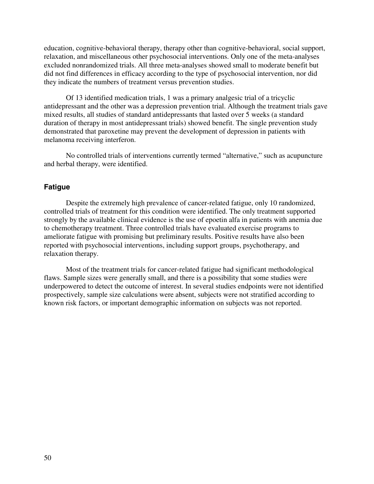education, cognitive-behavioral therapy, therapy other than cognitive-behavioral, social support, relaxation, and miscellaneous other psychosocial interventions. Only one of the meta-analyses excluded nonrandomized trials. All three meta-analyses showed small to moderate benefit but did not find differences in efficacy according to the type of psychosocial intervention, nor did they indicate the numbers of treatment versus prevention studies.

Of 13 identified medication trials, 1 was a primary analgesic trial of a tricyclic antidepressant and the other was a depression prevention trial. Although the treatment trials gave mixed results, all studies of standard antidepressants that lasted over 5 weeks (a standard duration of therapy in most antidepressant trials) showed benefit. The single prevention study demonstrated that paroxetine may prevent the development of depression in patients with melanoma receiving interferon.

No controlled trials of interventions currently termed "alternative," such as acupuncture and herbal therapy, were identified.

### **Fatigue**

Despite the extremely high prevalence of cancer-related fatigue, only 10 randomized, controlled trials of treatment for this condition were identified. The only treatment supported strongly by the available clinical evidence is the use of epoetin alfa in patients with anemia due to chemotherapy treatment. Three controlled trials have evaluated exercise programs to ameliorate fatigue with promising but preliminary results. Positive results have also been reported with psychosocial interventions, including support groups, psychotherapy, and relaxation therapy.

Most of the treatment trials for cancer-related fatigue had significant methodological flaws. Sample sizes were generally small, and there is a possibility that some studies were underpowered to detect the outcome of interest. In several studies endpoints were not identified prospectively, sample size calculations were absent, subjects were not stratified according to known risk factors, or important demographic information on subjects was not reported.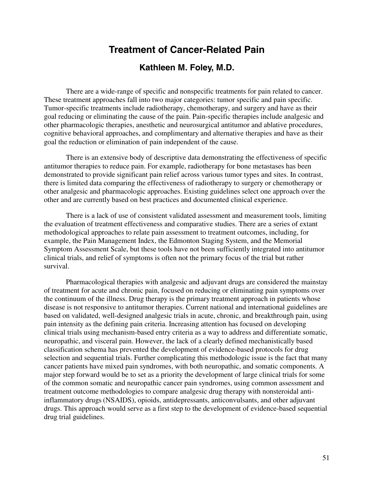# **Treatment of Cancer-Related Pain**

## **Kathleen M. Foley, M.D.**

There are a wide-range of specific and nonspecific treatments for pain related to cancer. These treatment approaches fall into two major categories: tumor specific and pain specific. Tumor-specific treatments include radiotherapy, chemotherapy, and surgery and have as their goal reducing or eliminating the cause of the pain. Pain-specific therapies include analgesic and other pharmacologic therapies, anesthetic and neurosurgical antitumor and ablative procedures, cognitive behavioral approaches, and complimentary and alternative therapies and have as their goal the reduction or elimination of pain independent of the cause.

There is an extensive body of descriptive data demonstrating the effectiveness of specific antitumor therapies to reduce pain. For example, radiotherapy for bone metastases has been demonstrated to provide significant pain relief across various tumor types and sites. In contrast, there is limited data comparing the effectiveness of radiotherapy to surgery or chemotherapy or other analgesic and pharmacologic approaches. Existing guidelines select one approach over the other and are currently based on best practices and documented clinical experience.

There is a lack of use of consistent validated assessment and measurement tools, limiting the evaluation of treatment effectiveness and comparative studies. There are a series of extant methodological approaches to relate pain assessment to treatment outcomes, including, for example, the Pain Management Index, the Edmonton Staging System, and the Memorial Symptom Assessment Scale, but these tools have not been sufficiently integrated into antitumor clinical trials, and relief of symptoms is often not the primary focus of the trial but rather survival.

Pharmacological therapies with analgesic and adjuvant drugs are considered the mainstay of treatment for acute and chronic pain, focused on reducing or eliminating pain symptoms over the continuum of the illness. Drug therapy is the primary treatment approach in patients whose disease is not responsive to antitumor therapies. Current national and international guidelines are based on validated, well-designed analgesic trials in acute, chronic, and breakthrough pain, using pain intensity as the defining pain criteria. Increasing attention has focused on developing clinical trials using mechanism-based entry criteria as a way to address and differentiate somatic, neuropathic, and visceral pain. However, the lack of a clearly defined mechanistically based classification schema has prevented the development of evidence-based protocols for drug selection and sequential trials. Further complicating this methodologic issue is the fact that many cancer patients have mixed pain syndromes, with both neuropathic, and somatic components. A major step forward would be to set as a priority the development of large clinical trials for some of the common somatic and neuropathic cancer pain syndromes, using common assessment and treatment outcome methodologies to compare analgesic drug therapy with nonsteroidal antiinflammatory drugs (NSAIDS), opioids, antidepressants, anticonvulsants, and other adjuvant drugs. This approach would serve as a first step to the development of evidence-based sequential drug trial guidelines.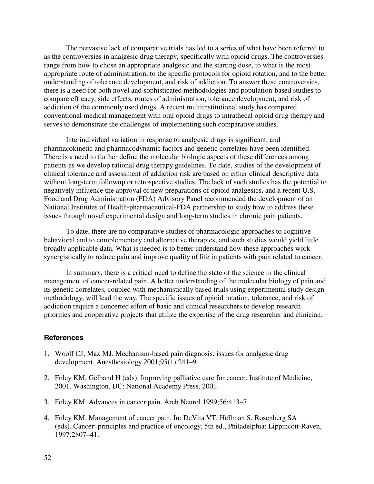The pervasive lack of comparative trials has led to a series of what have been referred to as the controversies in analgesic drug therapy, specifically with opioid drugs. The controversies range from how to chose an appropriate analgesic and the starting dose, to what is the most appropriate route of administration, to the specific protocols for opioid rotation, and to the better understanding of tolerance development, and risk of addiction. To answer these controversies, there is a need for both novel and sophisticated methodologies and population-based studies to compare efficacy, side effects, routes of administration, tolerance development, and risk of addiction of the commonly used drugs. A recent multiinstitutional study has compared conventional medical management with oral opioid drugs to intrathecal opioid drug therapy and serves to demonstrate the challenges of implementing such comparative studies.

Interindividual variation in response to analgesic drugs is significant, and pharmacokinetic and pharmacodynamic factors and genetic correlates have been identified. There is a need to further define the molecular biologic aspects of these differences among patients as we develop rational drug therapy guidelines. To date, studies of the development of clinical tolerance and assessment of addiction risk are based on either clinical descriptive data without long-term followup or retrospective studies. The lack of such studies has the potential to negatively influence the approval of new preparations of opioid analgesics, and a recent U.S. Food and Drug Administration (FDA) Advisory Panel recommended the development of an National Institutes of Health-pharmaceutical-FDA partnership to study how to address these issues through novel experimental design and long-term studies in chronic pain patients.

To date, there are no comparative studies of pharmacologic approaches to cognitive behavioral and to complementary and alternative therapies, and such studies would yield little broadly applicable data. What is needed is to better understand how these approaches work synergistically to reduce pain and improve quality of life in patients with pain related to cancer.

In summary, there is a critical need to define the state of the science in the clinical management of cancer-related pain. A better understanding of the molecular biology of pain and its genetic correlates, coupled with mechanistically based trials using experimental study design methodology, will lead the way. The specific issues of opioid rotation, tolerance, and risk of addiction require a concerted effort of basic and clinical researchers to develop research priorities and cooperative projects that utilize the expertise of the drug researcher and clinician.

- 1. Woolf CJ, Max MJ. Mechanism-based pain diagnosis: issues for analgesic drug development. Anesthesiology 2001;95(1):241–9.
- 2. Foley KM, Gelband H (eds). Improving palliative care for cancer. Institute of Medicine, 2001. Washington, DC: National Academy Press, 2001.
- 3. Foley KM. Advances in cancer pain. Arch Neurol 1999;56:413–7.
- 4. Foley KM. Management of cancer pain. In: DeVita VT, Hellman S, Rosenberg SA (eds). Cancer: principles and practice of oncology, 5th ed., Philadelphia: Lippincott-Raven, 1997:2807–41.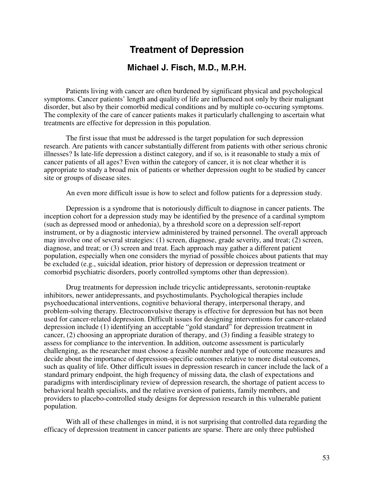# **Treatment of Depression**

## **Michael J. Fisch, M.D., M.P.H.**

Patients living with cancer are often burdened by significant physical and psychological symptoms. Cancer patients' length and quality of life are influenced not only by their malignant disorder, but also by their comorbid medical conditions and by multiple co-occuring symptoms. The complexity of the care of cancer patients makes it particularly challenging to ascertain what treatments are effective for depression in this population.

The first issue that must be addressed is the target population for such depression research. Are patients with cancer substantially different from patients with other serious chronic illnesses? Is late-life depression a distinct category, and if so, is it reasonable to study a mix of cancer patients of all ages? Even within the category of cancer, it is not clear whether it is appropriate to study a broad mix of patients or whether depression ought to be studied by cancer site or groups of disease sites.

An even more difficult issue is how to select and follow patients for a depression study.

Depression is a syndrome that is notoriously difficult to diagnose in cancer patients. The inception cohort for a depression study may be identified by the presence of a cardinal symptom (such as depressed mood or anhedonia), by a threshold score on a depression self-report instrument, or by a diagnostic interview administered by trained personnel. The overall approach may involve one of several strategies: (1) screen, diagnose, grade severity, and treat; (2) screen, diagnose, and treat; or (3) screen and treat. Each approach may gather a different patient population, especially when one considers the myriad of possible choices about patients that may be excluded (e.g., suicidal ideation, prior history of depression or depression treatment or comorbid psychiatric disorders, poorly controlled symptoms other than depression).

Drug treatments for depression include tricyclic antidepressants, serotonin-reuptake inhibitors, newer antidepressants, and psychostimulants. Psychological therapies include psychoeducational interventions, cognitive behavioral therapy, interpersonal therapy, and problem-solving therapy. Electroconvulsive therapy is effective for depression but has not been used for cancer-related depression. Difficult issues for designing interventions for cancer-related depression include (1) identifying an acceptable "gold standard" for depression treatment in cancer, (2) choosing an appropriate duration of therapy, and (3) finding a feasible strategy to assess for compliance to the intervention. In addition, outcome assessment is particularly challenging, as the researcher must choose a feasible number and type of outcome measures and decide about the importance of depression-specific outcomes relative to more distal outcomes, such as quality of life. Other difficult issues in depression research in cancer include the lack of a standard primary endpoint, the high frequency of missing data, the clash of expectations and paradigms with interdisciplinary review of depression research, the shortage of patient access to behavioral health specialists, and the relative aversion of patients, family members, and providers to placebo-controlled study designs for depression research in this vulnerable patient population.

With all of these challenges in mind, it is not surprising that controlled data regarding the efficacy of depression treatment in cancer patients are sparse. There are only three published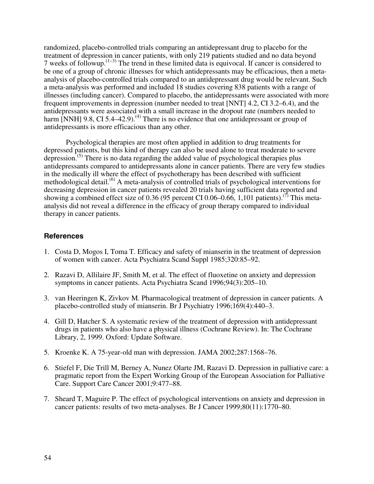randomized, placebo-controlled trials comparing an antidepressant drug to placebo for the treatment of depression in cancer patients, with only 219 patients studied and no data beyond 7 weeks of followup.  $(1-3)$  The trend in these limited data is equivocal. If cancer is considered to be one of a group of chronic illnesses for which antidepressants may be efficacious, then a metaanalysis of placebo-controlled trials compared to an antidepressant drug would be relevant. Such a meta-analysis was performed and included 18 studies covering 838 patients with a range of illnesses (including cancer). Compared to placebo, the antidepressants were associated with more frequent improvements in depression (number needed to treat [NNT] 4.2, CI 3.2–6.4), and the antidepressants were associated with a small increase in the dropout rate (numbers needed to harm [NNH] 9.8, CI 5.4–42.9).<sup>(4)</sup> There is no evidence that one antidepressant or group of antidepressants is more efficacious than any other.

Psychological therapies are most often applied in addition to drug treatments for depressed patients, but this kind of therapy can also be used alone to treat moderate to severe depression.<sup> $(5)$ </sup> There is no data regarding the added value of psychological therapies plus antidepressants compared to antidepressants alone in cancer patients. There are very few studies in the medically ill where the effect of psychotherapy has been described with sufficient methodological detail.(6) A meta-analysis of controlled trials of psychological interventions for decreasing depression in cancer patients revealed 20 trials having sufficient data reported and showing a combined effect size of 0.36 (95 percent CI 0.06–0.66, 1,101 patients).<sup>(7)</sup> This metaanalysis did not reveal a difference in the efficacy of group therapy compared to individual therapy in cancer patients.

- 1. Costa D, Mogos I, Toma T. Efficacy and safety of mianserin in the treatment of depression of women with cancer. Acta Psychiatra Scand Suppl 1985;320:85–92.
- 2. Razavi D, Allilaire JF, Smith M, et al. The effect of fluoxetine on anxiety and depression symptoms in cancer patients. Acta Psychiatra Scand 1996;94(3):205–10.
- 3. van Heeringen K, Zivkov M. Pharmacological treatment of depression in cancer patients. A placebo-controlled study of mianserin. Br J Psychiatry 1996;169(4):440–3.
- 4. Gill D, Hatcher S. A systematic review of the treatment of depression with antidepressant drugs in patients who also have a physical illness (Cochrane Review). In: The Cochrane Library, 2, 1999. Oxford: Update Software.
- 5. Kroenke K. A 75-year-old man with depression. JAMA 2002;287:1568–76.
- 6. Stiefel F, Die Trill M, Berney A, Nunez Olarte JM, Razavi D. Depression in palliative care: a pragmatic report from the Expert Working Group of the European Association for Palliative Care. Support Care Cancer 2001;9:477–88.
- 7. Sheard T, Maguire P. The effect of psychological interventions on anxiety and depression in cancer patients: results of two meta-analyses. Br J Cancer 1999;80(11):1770–80.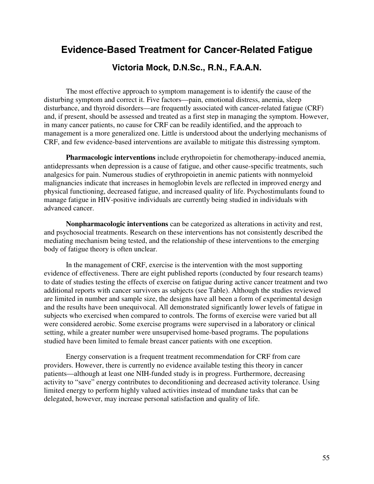# **Evidence-Based Treatment for Cancer-Related Fatigue Victoria Mock, D.N.Sc., R.N., F.A.A.N.**

The most effective approach to symptom management is to identify the cause of the disturbing symptom and correct it. Five factors—pain, emotional distress, anemia, sleep disturbance, and thyroid disorders—are frequently associated with cancer-related fatigue (CRF) and, if present, should be assessed and treated as a first step in managing the symptom. However, in many cancer patients, no cause for CRF can be readily identified, and the approach to management is a more generalized one. Little is understood about the underlying mechanisms of CRF, and few evidence-based interventions are available to mitigate this distressing symptom.

**Pharmacologic interventions** include erythropoietin for chemotherapy-induced anemia, antidepressants when depression is a cause of fatigue, and other cause-specific treatments, such analgesics for pain. Numerous studies of erythropoietin in anemic patients with nonmyeloid malignancies indicate that increases in hemoglobin levels are reflected in improved energy and physical functioning, decreased fatigue, and increased quality of life. Psychostimulants found to manage fatigue in HIV-positive individuals are currently being studied in individuals with advanced cancer.

**Nonpharmacologic interventions** can be categorized as alterations in activity and rest, and psychosocial treatments. Research on these interventions has not consistently described the mediating mechanism being tested, and the relationship of these interventions to the emerging body of fatigue theory is often unclear.

In the management of CRF, exercise is the intervention with the most supporting evidence of effectiveness. There are eight published reports (conducted by four research teams) to date of studies testing the effects of exercise on fatigue during active cancer treatment and two additional reports with cancer survivors as subjects (see Table). Although the studies reviewed are limited in number and sample size, the designs have all been a form of experimental design and the results have been unequivocal. All demonstrated significantly lower levels of fatigue in subjects who exercised when compared to controls. The forms of exercise were varied but all were considered aerobic. Some exercise programs were supervised in a laboratory or clinical setting, while a greater number were unsupervised home-based programs. The populations studied have been limited to female breast cancer patients with one exception.

Energy conservation is a frequent treatment recommendation for CRF from care providers. However, there is currently no evidence available testing this theory in cancer patients—although at least one NIH-funded study is in progress. Furthermore, decreasing activity to "save" energy contributes to deconditioning and decreased activity tolerance. Using limited energy to perform highly valued activities instead of mundane tasks that can be delegated, however, may increase personal satisfaction and quality of life.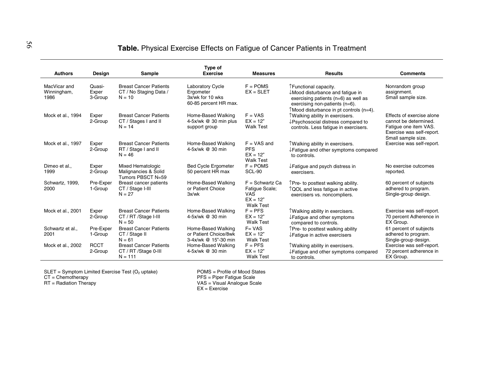# **Table.** Physical Exercise Effects on Fatigue of Cancer Patients in Treatment

| <b>Authors</b>                      | Design                     | <b>Sample</b>                                                         | Type of<br><b>Exercise</b>                                                        | <b>Measures</b>                                                                     | <b>Results</b>                                                                                                                                                                               | <b>Comments</b>                                                                                                                |
|-------------------------------------|----------------------------|-----------------------------------------------------------------------|-----------------------------------------------------------------------------------|-------------------------------------------------------------------------------------|----------------------------------------------------------------------------------------------------------------------------------------------------------------------------------------------|--------------------------------------------------------------------------------------------------------------------------------|
| MacVicar and<br>Winningham,<br>1986 | Quasi-<br>Exper<br>3-Group | <b>Breast Cancer Patients</b><br>CT / No Staging Data /<br>$N = 10$   | <b>Laboratory Cycle</b><br>Ergometer<br>3x/wk for 10 wks<br>60-85 percent HR max. | $F = POMS$<br>$EX = SLET$                                                           | ↑Functional capacity.<br>↓Mood disturbance and fatigue in<br>exercising patients $(n=6)$ as well as<br>exercising non-patients $(n=6)$ .<br>$\hat{a}$ Mood disturbance in pt controls (n=4). | Nonrandom group<br>assignment.<br>Small sample size.                                                                           |
| Mock et al., 1994                   | Exper<br>2-Group           | <b>Breast Cancer Patients</b><br>CT / Stages I and II<br>$N = 14$     | Home-Based Walking<br>4-5x/wk @ 30 min plus<br>support group                      | $F = VAS$<br>$EX = 12"$<br><b>Walk Test</b>                                         | TWalking ability in exercisers.<br>$\downarrow$ Psychosocial distress compared to<br>controls. Less fatigue in exercisers.                                                                   | Effects of exercise alone<br>cannot be determined.<br>Fatigue one item VAS.<br>Exercise was self-report.<br>Small sample size. |
| Mock et al., 1997                   | Exper<br>2-Group           | <b>Breast Cancer Patients</b><br>RT / Stage I and II<br>$N = 46$      | Home-Based Walking<br>4-5x/wk @ 30 min                                            | $F = VAS$ and<br><b>PFS</b><br>$EX = 12"$<br><b>Walk Test</b>                       | TWalking ability in exercisers.<br>$\downarrow$ Fatigue and other symptoms compared<br>to controls.                                                                                          | Exercise was self-report.                                                                                                      |
| Dimeo et al<br>1999                 | Exper<br>2-Group           | <b>Mixed Hematologic</b><br>Malignancies & Solid<br>Tumors PBSCT N=59 | <b>Bed Cycle Ergometer</b><br>50 percent HR max                                   | $F = POMS$<br>SCL-90                                                                | $\downarrow$ Fatigue and psych distress in<br>exercisers.                                                                                                                                    | No exercise outcomes<br>reported.                                                                                              |
| Schwartz, 1999,<br>2000             | Pre-Exper<br>1-Group       | Breast cancer patients<br>CT / Stage I-III<br>$N = 27$                | Home-Based Walking<br>or Patient Choice<br>3x/wk                                  | $F =$ Schwartz Ca<br>Fatigue Scale;<br><b>VAS</b><br>$EX = 12"$<br><b>Walk Test</b> | TPre- to posttest walking ability.<br>TQOL and less fatique in active<br>exercisers vs. noncompliers.                                                                                        | 60 percent of subjects<br>adhered to program.<br>Single-group design.                                                          |
| Mock et al., 2001                   | Exper<br>2-Group           | <b>Breast Cancer Patients</b><br>CT / RT /Stage I-III<br>$N = 50$     | Home-Based Walking<br>4-5x/wk @ 30 min                                            | $F = PFS$<br>$EX = 12"$<br><b>Walk Test</b>                                         | TWalking ability in exercisers.<br>$\downarrow$ Fatigue and other symptoms<br>compared to controls.                                                                                          | Exercise was self-report.<br>70 percent Adherence in<br>EX Group.                                                              |
| Schwartz et al.,<br>2001            | Pre-Exper<br>1-Group       | <b>Breast Cancer Patients</b><br>CT / Stage II<br>$N = 61$            | Home-Based Walking<br>or Patient Choice/8wk<br>3-4x/wk @ 15"-30 min               | $F = VAS$<br>$EX = 12"$<br>Walk Test                                                | TPre- to posttest walking ability<br>$\downarrow$ Fatigue in active exercisers                                                                                                               | 61 percent of subjects<br>adhered to program.<br>Single-group design.                                                          |
| Mock et al., 2002                   | <b>RCCT</b><br>2-Group     | <b>Breast Cancer Patients</b><br>$CT / RT / Stage 0-III$<br>$N = 111$ | Home-Based Walking<br>4-5x/wk @ 30 min                                            | $F = PFS$<br>$EX = 12"$<br><b>Walk Test</b>                                         | TWalking ability in exercisers.<br>$\downarrow$ Fatigue and other symptoms compared<br>to controls.                                                                                          | Exercise was self-report.<br>72 percent adherence in<br>EX Group.                                                              |

SLET = Symptom Limited Exercise Test (O $_2$  uptake)  $\hskip10mm$  POMS = Profile of Mood States CT = Chemotherapy PFS = Piper Fatigue Scale RT = Radiation Therapy VAS = Visual Analogue Scale

EX = Exercise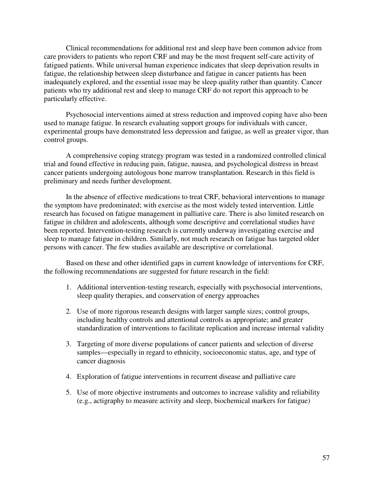Clinical recommendations for additional rest and sleep have been common advice from care providers to patients who report CRF and may be the most frequent self-care activity of fatigued patients. While universal human experience indicates that sleep deprivation results in fatigue, the relationship between sleep disturbance and fatigue in cancer patients has been inadequately explored, and the essential issue may be sleep quality rather than quantity. Cancer patients who try additional rest and sleep to manage CRF do not report this approach to be particularly effective.

Psychosocial interventions aimed at stress reduction and improved coping have also been used to manage fatigue. In research evaluating support groups for individuals with cancer, experimental groups have demonstrated less depression and fatigue, as well as greater vigor, than control groups.

A comprehensive coping strategy program was tested in a randomized controlled clinical trial and found effective in reducing pain, fatigue, nausea, and psychological distress in breast cancer patients undergoing autologous bone marrow transplantation. Research in this field is preliminary and needs further development.

In the absence of effective medications to treat CRF, behavioral interventions to manage the symptom have predominated; with exercise as the most widely tested intervention. Little research has focused on fatigue management in palliative care. There is also limited research on fatigue in children and adolescents, although some descriptive and correlational studies have been reported. Intervention-testing research is currently underway investigating exercise and sleep to manage fatigue in children. Similarly, not much research on fatigue has targeted older persons with cancer. The few studies available are descriptive or correlational.

Based on these and other identified gaps in current knowledge of interventions for CRF, the following recommendations are suggested for future research in the field:

- 1. Additional intervention-testing research, especially with psychosocial interventions, sleep quality therapies, and conservation of energy approaches
- 2. Use of more rigorous research designs with larger sample sizes; control groups, including healthy controls and attentional controls as appropriate; and greater standardization of interventions to facilitate replication and increase internal validity
- 3. Targeting of more diverse populations of cancer patients and selection of diverse samples—especially in regard to ethnicity, socioeconomic status, age, and type of cancer diagnosis
- 4. Exploration of fatigue interventions in recurrent disease and palliative care
- 5. Use of more objective instruments and outcomes to increase validity and reliability (e.g., actigraphy to measure activity and sleep, biochemical markers for fatigue)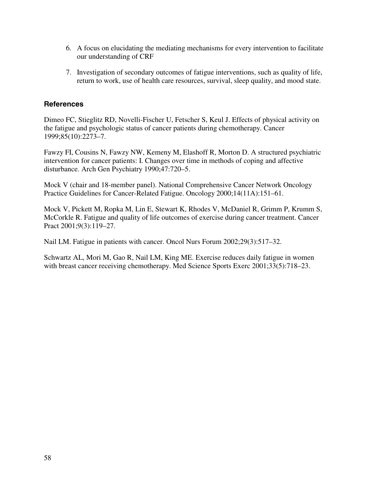- 6. A focus on elucidating the mediating mechanisms for every intervention to facilitate our understanding of CRF
- 7. Investigation of secondary outcomes of fatigue interventions, such as quality of life, return to work, use of health care resources, survival, sleep quality, and mood state.

## **References**

Dimeo FC, Stieglitz RD, Novelli-Fischer U, Fetscher S, Keul J. Effects of physical activity on the fatigue and psychologic status of cancer patients during chemotherapy. Cancer 1999;85(10):2273–7.

Fawzy FI, Cousins N, Fawzy NW, Kemeny M, Elashoff R, Morton D. A structured psychiatric intervention for cancer patients: I. Changes over time in methods of coping and affective disturbance. Arch Gen Psychiatry 1990;47:720–5.

Mock V (chair and 18-member panel). National Comprehensive Cancer Network Oncology Practice Guidelines for Cancer-Related Fatigue. Oncology 2000;14(11A):151–61.

Mock V, Pickett M, Ropka M, Lin E, Stewart K, Rhodes V, McDaniel R, Grimm P, Krumm S, McCorkle R. Fatigue and quality of life outcomes of exercise during cancer treatment. Cancer Pract 2001;9(3):119–27.

Nail LM. Fatigue in patients with cancer. Oncol Nurs Forum 2002;29(3):517–32.

Schwartz AL, Mori M, Gao R, Nail LM, King ME. Exercise reduces daily fatigue in women with breast cancer receiving chemotherapy. Med Science Sports Exerc 2001;33(5):718–23.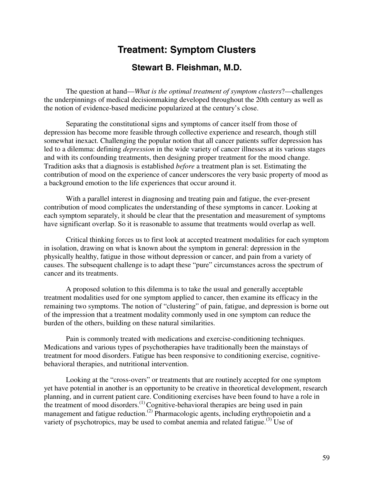# **Treatment: Symptom Clusters**

## **Stewart B. Fleishman, M.D.**

The question at hand—*What is the optimal treatment of symptom clusters*?—challenges the underpinnings of medical decisionmaking developed throughout the 20th century as well as the notion of evidence-based medicine popularized at the century's close.

Separating the constitutional signs and symptoms of cancer itself from those of depression has become more feasible through collective experience and research, though still somewhat inexact. Challenging the popular notion that all cancer patients suffer depression has led to a dilemma: defining *depression* in the wide variety of cancer illnesses at its various stages and with its confounding treatments, then designing proper treatment for the mood change. Tradition asks that a diagnosis is established *before* a treatment plan is set. Estimating the contribution of mood on the experience of cancer underscores the very basic property of mood as a background emotion to the life experiences that occur around it.

With a parallel interest in diagnosing and treating pain and fatigue, the ever-present contribution of mood complicates the understanding of these symptoms in cancer. Looking at each symptom separately, it should be clear that the presentation and measurement of symptoms have significant overlap. So it is reasonable to assume that treatments would overlap as well.

Critical thinking forces us to first look at accepted treatment modalities for each symptom in isolation, drawing on what is known about the symptom in general: depression in the physically healthy, fatigue in those without depression or cancer, and pain from a variety of causes. The subsequent challenge is to adapt these "pure" circumstances across the spectrum of cancer and its treatments.

A proposed solution to this dilemma is to take the usual and generally acceptable treatment modalities used for one symptom applied to cancer, then examine its efficacy in the remaining two symptoms. The notion of "clustering" of pain, fatigue, and depression is borne out of the impression that a treatment modality commonly used in one symptom can reduce the burden of the others, building on these natural similarities.

Pain is commonly treated with medications and exercise-conditioning techniques. Medications and various types of psychotherapies have traditionally been the mainstays of treatment for mood disorders. Fatigue has been responsive to conditioning exercise, cognitivebehavioral therapies, and nutritional intervention.

Looking at the "cross-overs" or treatments that are routinely accepted for one symptom yet have potential in another is an opportunity to be creative in theoretical development, research planning, and in current patient care. Conditioning exercises have been found to have a role in the treatment of mood disorders.<sup>(1)</sup> Cognitive-behavioral therapies are being used in pain management and fatigue reduction.<sup>(2)</sup> Pharmacologic agents, including erythropoietin and a variety of psychotropics, may be used to combat anemia and related fatigue.<sup> $(3)$ </sup> Use of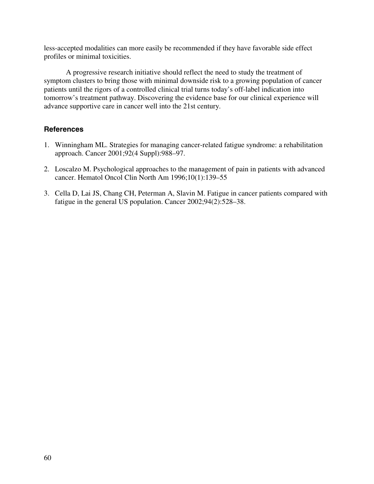less-accepted modalities can more easily be recommended if they have favorable side effect profiles or minimal toxicities.

A progressive research initiative should reflect the need to study the treatment of symptom clusters to bring those with minimal downside risk to a growing population of cancer patients until the rigors of a controlled clinical trial turns today's off-label indication into tomorrow's treatment pathway. Discovering the evidence base for our clinical experience will advance supportive care in cancer well into the 21st century.

- 1. Winningham ML. Strategies for managing cancer-related fatigue syndrome: a rehabilitation approach. Cancer 2001;92(4 Suppl):988–97.
- 2. Loscalzo M. Psychological approaches to the management of pain in patients with advanced cancer. Hematol Oncol Clin North Am 1996;10(1):139–55
- 3. Cella D, Lai JS, Chang CH, Peterman A, Slavin M. Fatigue in cancer patients compared with fatigue in the general US population. Cancer 2002;94(2):528–38.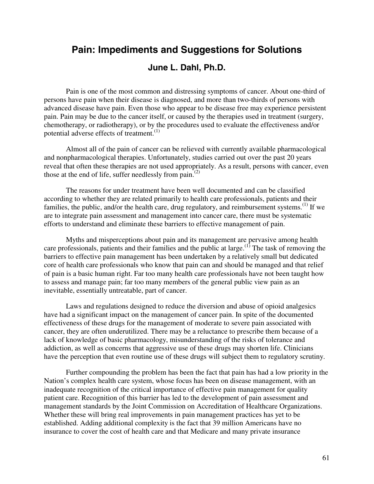# **Pain: Impediments and Suggestions for Solutions**

## **June L. Dahl, Ph.D.**

Pain is one of the most common and distressing symptoms of cancer. About one-third of persons have pain when their disease is diagnosed, and more than two-thirds of persons with advanced disease have pain. Even those who appear to be disease free may experience persistent pain. Pain may be due to the cancer itself, or caused by the therapies used in treatment (surgery, chemotherapy, or radiotherapy), or by the procedures used to evaluate the effectiveness and/or potential adverse effects of treatment. $(1)$ 

Almost all of the pain of cancer can be relieved with currently available pharmacological and nonpharmacological therapies. Unfortunately, studies carried out over the past 20 years reveal that often these therapies are not used appropriately. As a result, persons with cancer, even those at the end of life, suffer needlessly from pain.<sup>(2)</sup>

The reasons for under treatment have been well documented and can be classified according to whether they are related primarily to health care professionals, patients and their families, the public, and/or the health care, drug regulatory, and reimbursement systems.<sup>(1)</sup> If we are to integrate pain assessment and management into cancer care, there must be systematic efforts to understand and eliminate these barriers to effective management of pain.

Myths and misperceptions about pain and its management are pervasive among health care professionals, patients and their families and the public at large.<sup>(1)</sup> The task of removing the barriers to effective pain management has been undertaken by a relatively small but dedicated core of health care professionals who know that pain can and should be managed and that relief of pain is a basic human right. Far too many health care professionals have not been taught how to assess and manage pain; far too many members of the general public view pain as an inevitable, essentially untreatable, part of cancer.

Laws and regulations designed to reduce the diversion and abuse of opioid analgesics have had a significant impact on the management of cancer pain. In spite of the documented effectiveness of these drugs for the management of moderate to severe pain associated with cancer, they are often underutilized. There may be a reluctance to prescribe them because of a lack of knowledge of basic pharmacology, misunderstanding of the risks of tolerance and addiction, as well as concerns that aggressive use of these drugs may shorten life. Clinicians have the perception that even routine use of these drugs will subject them to regulatory scrutiny.

Further compounding the problem has been the fact that pain has had a low priority in the Nation's complex health care system, whose focus has been on disease management, with an inadequate recognition of the critical importance of effective pain management for quality patient care. Recognition of this barrier has led to the development of pain assessment and management standards by the Joint Commission on Accreditation of Healthcare Organizations. Whether these will bring real improvements in pain management practices has yet to be established. Adding additional complexity is the fact that 39 million Americans have no insurance to cover the cost of health care and that Medicare and many private insurance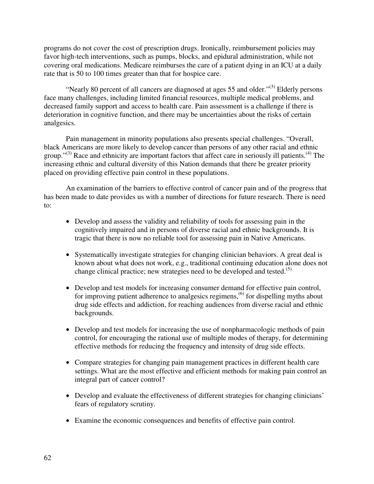programs do not cover the cost of prescription drugs. Ironically, reimbursement policies may favor high-tech interventions, such as pumps, blocks, and epidural administration, while not covering oral medications. Medicare reimburses the care of a patient dying in an ICU at a daily rate that is 50 to 100 times greater than that for hospice care.

"Nearly 80 percent of all cancers are diagnosed at ages 55 and older."<sup>(3)</sup> Elderly persons face many challenges, including limited financial resources, multiple medical problems, and decreased family support and access to health care. Pain assessment is a challenge if there is deterioration in cognitive function, and there may be uncertainties about the risks of certain analgesics.

Pain management in minority populations also presents special challenges. "Overall, black Americans are more likely to develop cancer than persons of any other racial and ethnic group."<sup>(3)</sup> Race and ethnicity are important factors that affect care in seriously ill patients.<sup>(4)</sup> The increasing ethnic and cultural diversity of this Nation demands that there be greater priority placed on providing effective pain control in these populations.

An examination of the barriers to effective control of cancer pain and of the progress that has been made to date provides us with a number of directions for future research. There is need to:

- Develop and assess the validity and reliability of tools for assessing pain in the cognitively impaired and in persons of diverse racial and ethnic backgrounds. It is tragic that there is now no reliable tool for assessing pain in Native Americans.
- Systematically investigate strategies for changing clinician behaviors. A great deal is known about what does not work, e.g., traditional continuing education alone does not change clinical practice; new strategies need to be developed and tested.<sup>(5)</sup>
- Develop and test models for increasing consumer demand for effective pain control, for improving patient adherence to analgesics regimens,<sup>(6)</sup> for dispelling myths about drug side effects and addiction, for reaching audiences from diverse racial and ethnic backgrounds.
- Develop and test models for increasing the use of nonpharmacologic methods of pain control, for encouraging the rational use of multiple modes of therapy, for determining effective methods for reducing the frequency and intensity of drug side effects.
- Compare strategies for changing pain management practices in different health care settings. What are the most effective and efficient methods for making pain control an integral part of cancer control?
- Develop and evaluate the effectiveness of different strategies for changing clinicians' fears of regulatory scrutiny.
- Examine the economic consequences and benefits of effective pain control.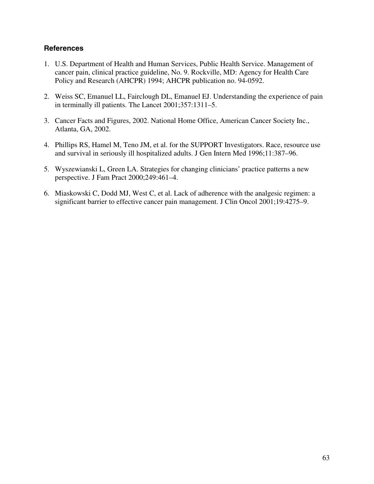- 1. U.S. Department of Health and Human Services, Public Health Service. Management of cancer pain, clinical practice guideline, No. 9. Rockville, MD: Agency for Health Care Policy and Research (AHCPR) 1994; AHCPR publication no. 94-0592.
- 2. Weiss SC, Emanuel LL, Fairclough DL, Emanuel EJ. Understanding the experience of pain in terminally ill patients. The Lancet 2001;357:1311–5.
- 3. Cancer Facts and Figures, 2002. National Home Office, American Cancer Society Inc., Atlanta, GA, 2002.
- 4. Phillips RS, Hamel M, Teno JM, et al. for the SUPPORT Investigators. Race, resource use and survival in seriously ill hospitalized adults. J Gen Intern Med 1996;11:387–96.
- 5. Wyszewianski L, Green LA. Strategies for changing clinicians' practice patterns a new perspective. J Fam Pract 2000;249:461–4.
- 6. Miaskowski C, Dodd MJ, West C, et al. Lack of adherence with the analgesic regimen: a significant barrier to effective cancer pain management. J Clin Oncol 2001;19:4275–9.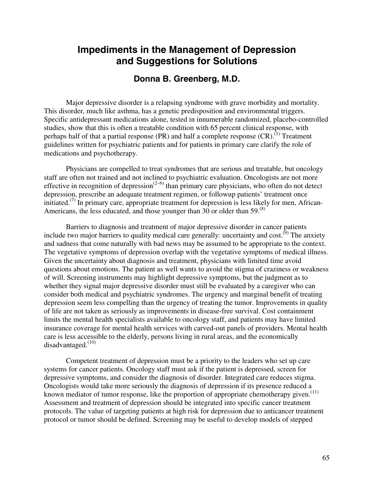# **Impediments in the Management of Depression and Suggestions for Solutions**

## **Donna B. Greenberg, M.D.**

Major depressive disorder is a relapsing syndrome with grave morbidity and mortality. This disorder, much like asthma, has a genetic predisposition and environmental triggers. Specific antidepressant medications alone, tested in innumerable randomized, placebo-controlled studies, show that this is often a treatable condition with 65 percent clinical response, with perhaps half of that a partial response (PR) and half a complete response  $(CR)$ .<sup>(1)</sup> Treatment guidelines written for psychiatric patients and for patients in primary care clarify the role of medications and psychotherapy.

Physicians are compelled to treat syndromes that are serious and treatable, but oncology staff are often not trained and not inclined to psychiatric evaluation. Oncologists are not more effective in recognition of depression<sup> $(2-6)$ </sup> than primary care physicians, who often do not detect depression, prescribe an adequate treatment regimen, or followup patients' treatment once initiated.<sup>(7)</sup> In primary care, appropriate treatment for depression is less likely for men, African-Americans, the less educated, and those younger than 30 or older than  $59^{(8)}$ .

Barriers to diagnosis and treatment of major depressive disorder in cancer patients include two major barriers to quality medical care generally: uncertainty and cost.<sup> $(9)$ </sup> The anxiety and sadness that come naturally with bad news may be assumed to be appropriate to the context. The vegetative symptoms of depression overlap with the vegetative symptoms of medical illness. Given the uncertainty about diagnosis and treatment, physicians with limited time avoid questions about emotions. The patient as well wants to avoid the stigma of craziness or weakness of will. Screening instruments may highlight depressive symptoms, but the judgment as to whether they signal major depressive disorder must still be evaluated by a caregiver who can consider both medical and psychiatric syndromes. The urgency and marginal benefit of treating depression seem less compelling than the urgency of treating the tumor. Improvements in quality of life are not taken as seriously as improvements in disease-free survival. Cost containment limits the mental health specialists available to oncology staff, and patients may have limited insurance coverage for mental health services with carved-out panels of providers. Mental health care is less accessible to the elderly, persons living in rural areas, and the economically disadvantaged. $(10)$ 

Competent treatment of depression must be a priority to the leaders who set up care systems for cancer patients. Oncology staff must ask if the patient is depressed, screen for depressive symptoms, and consider the diagnosis of disorder. Integrated care reduces stigma. Oncologists would take more seriously the diagnosis of depression if its presence reduced a known mediator of tumor response, like the proportion of appropriate chemotherapy given.<sup>(11)</sup> Assessment and treatment of depression should be integrated into specific cancer treatment protocols. The value of targeting patients at high risk for depression due to anticancer treatment protocol or tumor should be defined. Screening may be useful to develop models of stepped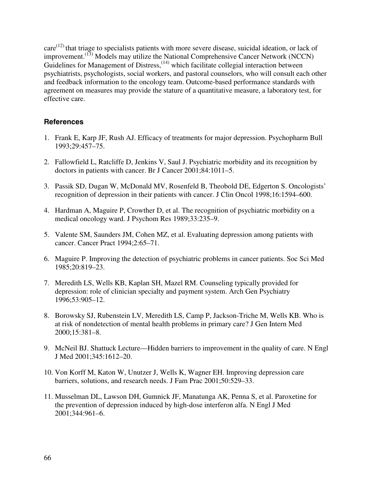$care<sup>(12)</sup>$  that triage to specialists patients with more severe disease, suicidal ideation, or lack of improvement.<sup>(13)</sup> Models may utilize the National Comprehensive Cancer Network (NCCN) Guidelines for Management of Distress,<sup> $(14)$ </sup> which facilitate collegial interaction between psychiatrists, psychologists, social workers, and pastoral counselors, who will consult each other and feedback information to the oncology team. Outcome-based performance standards with agreement on measures may provide the stature of a quantitative measure, a laboratory test, for effective care.

- 1. Frank E, Karp JF, Rush AJ. Efficacy of treatments for major depression. Psychopharm Bull 1993;29:457–75.
- 2. Fallowfield L, Ratcliffe D, Jenkins V, Saul J. Psychiatric morbidity and its recognition by doctors in patients with cancer. Br J Cancer 2001;84:1011–5.
- 3. Passik SD, Dugan W, McDonald MV, Rosenfeld B, Theobold DE, Edgerton S. Oncologists' recognition of depression in their patients with cancer. J Clin Oncol 1998;16:1594–600.
- 4. Hardman A, Maguire P, Crowther D, et al. The recognition of psychiatric morbidity on a medical oncology ward. J Psychom Res 1989;33:235–9.
- 5. Valente SM, Saunders JM, Cohen MZ, et al. Evaluating depression among patients with cancer. Cancer Pract 1994;2:65–71.
- 6. Maguire P. Improving the detection of psychiatric problems in cancer patients. Soc Sci Med 1985;20:819–23.
- 7. Meredith LS, Wells KB, Kaplan SH, Mazel RM. Counseling typically provided for depression: role of clinician specialty and payment system. Arch Gen Psychiatry 1996;53:905–12.
- 8. Borowsky SJ, Rubenstein LV, Meredith LS, Camp P, Jackson-Triche M, Wells KB. Who is at risk of nondetection of mental health problems in primary care? J Gen Intern Med 2000;15:381–8.
- 9. McNeil BJ. Shattuck Lecture—Hidden barriers to improvement in the quality of care. N Engl J Med 2001;345:1612–20.
- 10. Von Korff M, Katon W, Unutzer J, Wells K, Wagner EH. Improving depression care barriers, solutions, and research needs. J Fam Prac 2001;50:529–33.
- 11. Musselman DL, Lawson DH, Gumnick JF, Manatunga AK, Penna S, et al. Paroxetine for the prevention of depression induced by high-dose interferon alfa. N Engl J Med 2001;344:961–6.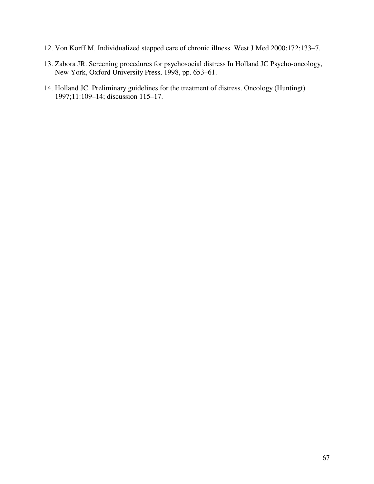- 12. Von Korff M. Individualized stepped care of chronic illness. West J Med 2000;172:133–7.
- 13. Zabora JR. Screening procedures for psychosocial distress In Holland JC Psycho-oncology, New York, Oxford University Press, 1998, pp. 653–61.
- 14. Holland JC. Preliminary guidelines for the treatment of distress. Oncology (Huntingt) 1997;11:109–14; discussion 115–17.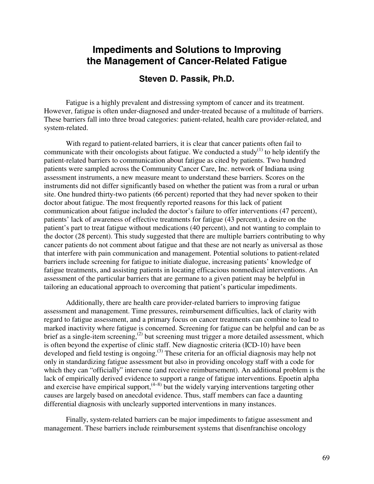# **Impediments and Solutions to Improving the Management of Cancer-Related Fatigue**

## **Steven D. Passik, Ph.D.**

Fatigue is a highly prevalent and distressing symptom of cancer and its treatment. However, fatigue is often under-diagnosed and under-treated because of a multitude of barriers. These barriers fall into three broad categories: patient-related, health care provider-related, and system-related.

With regard to patient-related barriers, it is clear that cancer patients often fail to communicate with their oncologists about fatigue. We conducted a study<sup>(1)</sup> to help identify the patient-related barriers to communication about fatigue as cited by patients. Two hundred patients were sampled across the Community Cancer Care, Inc. network of Indiana using assessment instruments, a new measure meant to understand these barriers. Scores on the instruments did not differ significantly based on whether the patient was from a rural or urban site. One hundred thirty-two patients (66 percent) reported that they had never spoken to their doctor about fatigue. The most frequently reported reasons for this lack of patient communication about fatigue included the doctor's failure to offer interventions (47 percent), patients' lack of awareness of effective treatments for fatigue (43 percent), a desire on the patient's part to treat fatigue without medications (40 percent), and not wanting to complain to the doctor (28 percent). This study suggested that there are multiple barriers contributing to why cancer patients do not comment about fatigue and that these are not nearly as universal as those that interfere with pain communication and management. Potential solutions to patient-related barriers include screening for fatigue to initiate dialogue, increasing patients' knowledge of fatigue treatments, and assisting patients in locating efficacious nonmedical interventions. An assessment of the particular barriers that are germane to a given patient may be helpful in tailoring an educational approach to overcoming that patient's particular impediments.

Additionally, there are health care provider-related barriers to improving fatigue assessment and management. Time pressures, reimbursement difficulties, lack of clarity with regard to fatigue assessment, and a primary focus on cancer treatments can combine to lead to marked inactivity where fatigue is concerned. Screening for fatigue can be helpful and can be as brief as a single-item screening,<sup>(2)</sup> but screening must trigger a more detailed assessment, which is often beyond the expertise of clinic staff. New diagnostic criteria (ICD-10) have been developed and field testing is ongoing.<sup>(3)</sup> These criteria for an official diagnosis may help not only in standardizing fatigue assessment but also in providing oncology staff with a code for which they can "officially" intervene (and receive reimbursement). An additional problem is the lack of empirically derived evidence to support a range of fatigue interventions. Epoetin alpha and exercise have empirical support, $(4-8)$  but the widely varying interventions targeting other causes are largely based on anecdotal evidence. Thus, staff members can face a daunting differential diagnosis with unclearly supported interventions in many instances.

Finally, system-related barriers can be major impediments to fatigue assessment and management. These barriers include reimbursement systems that disenfranchise oncology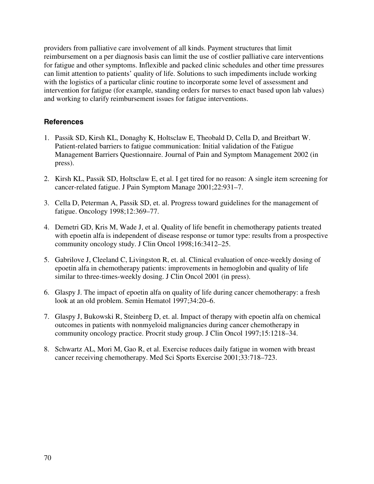providers from palliative care involvement of all kinds. Payment structures that limit reimbursement on a per diagnosis basis can limit the use of costlier palliative care interventions for fatigue and other symptoms. Inflexible and packed clinic schedules and other time pressures can limit attention to patients' quality of life. Solutions to such impediments include working with the logistics of a particular clinic routine to incorporate some level of assessment and intervention for fatigue (for example, standing orders for nurses to enact based upon lab values) and working to clarify reimbursement issues for fatigue interventions.

- 1. Passik SD, Kirsh KL, Donaghy K, Holtsclaw E, Theobald D, Cella D, and Breitbart W. Patient-related barriers to fatigue communication: Initial validation of the Fatigue Management Barriers Questionnaire. Journal of Pain and Symptom Management 2002 (in press).
- 2. Kirsh KL, Passik SD, Holtsclaw E, et al. I get tired for no reason: A single item screening for cancer-related fatigue. J Pain Symptom Manage 2001;22:931–7.
- 3. Cella D, Peterman A, Passik SD, et. al. Progress toward guidelines for the management of fatigue. Oncology 1998;12:369–77.
- 4. Demetri GD, Kris M, Wade J, et al. Quality of life benefit in chemotherapy patients treated with epoetin alfa is independent of disease response or tumor type: results from a prospective community oncology study. J Clin Oncol 1998;16:3412–25.
- 5. Gabrilove J, Cleeland C, Livingston R, et. al. Clinical evaluation of once-weekly dosing of epoetin alfa in chemotherapy patients: improvements in hemoglobin and quality of life similar to three-times-weekly dosing. J Clin Oncol 2001 (in press).
- 6. Glaspy J. The impact of epoetin alfa on quality of life during cancer chemotherapy: a fresh look at an old problem. Semin Hematol 1997;34:20–6.
- 7. Glaspy J, Bukowski R, Steinberg D, et. al. Impact of therapy with epoetin alfa on chemical outcomes in patients with nonmyeloid malignancies during cancer chemotherapy in community oncology practice. Procrit study group. J Clin Oncol 1997;15:1218–34.
- 8. Schwartz AL, Mori M, Gao R, et al. Exercise reduces daily fatigue in women with breast cancer receiving chemotherapy. Med Sci Sports Exercise 2001;33:718–723.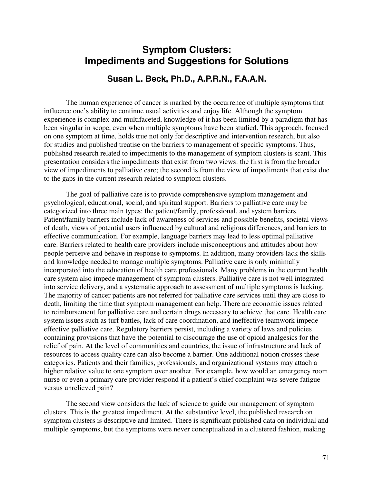# **Symptom Clusters: Impediments and Suggestions for Solutions**

# **Susan L. Beck, Ph.D., A.P.R.N., F.A.A.N.**

The human experience of cancer is marked by the occurrence of multiple symptoms that influence one's ability to continue usual activities and enjoy life. Although the symptom experience is complex and multifaceted, knowledge of it has been limited by a paradigm that has been singular in scope, even when multiple symptoms have been studied. This approach, focused on one symptom at time, holds true not only for descriptive and intervention research, but also for studies and published treatise on the barriers to management of specific symptoms. Thus, published research related to impediments to the management of symptom clusters is scant. This presentation considers the impediments that exist from two views: the first is from the broader view of impediments to palliative care; the second is from the view of impediments that exist due to the gaps in the current research related to symptom clusters.

The goal of palliative care is to provide comprehensive symptom management and psychological, educational, social, and spiritual support. Barriers to palliative care may be categorized into three main types: the patient/family, professional, and system barriers. Patient/family barriers include lack of awareness of services and possible benefits, societal views of death, views of potential users influenced by cultural and religious differences, and barriers to effective communication. For example, language barriers may lead to less optimal palliative care. Barriers related to health care providers include misconceptions and attitudes about how people perceive and behave in response to symptoms. In addition, many providers lack the skills and knowledge needed to manage multiple symptoms. Palliative care is only minimally incorporated into the education of health care professionals. Many problems in the current health care system also impede management of symptom clusters. Palliative care is not well integrated into service delivery, and a systematic approach to assessment of multiple symptoms is lacking. The majority of cancer patients are not referred for palliative care services until they are close to death, limiting the time that symptom management can help. There are economic issues related to reimbursement for palliative care and certain drugs necessary to achieve that care. Health care system issues such as turf battles, lack of care coordination, and ineffective teamwork impede effective palliative care. Regulatory barriers persist, including a variety of laws and policies containing provisions that have the potential to discourage the use of opioid analgesics for the relief of pain. At the level of communities and countries, the issue of infrastructure and lack of resources to access quality care can also become a barrier. One additional notion crosses these categories. Patients and their families, professionals, and organizational systems may attach a higher relative value to one symptom over another. For example, how would an emergency room nurse or even a primary care provider respond if a patient's chief complaint was severe fatigue versus unrelieved pain?

The second view considers the lack of science to guide our management of symptom clusters. This is the greatest impediment. At the substantive level, the published research on symptom clusters is descriptive and limited. There is significant published data on individual and multiple symptoms, but the symptoms were never conceptualized in a clustered fashion, making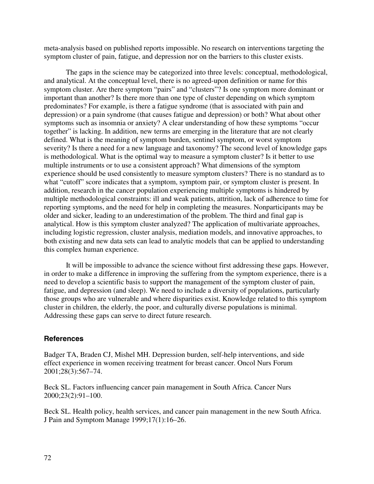meta-analysis based on published reports impossible. No research on interventions targeting the symptom cluster of pain, fatigue, and depression nor on the barriers to this cluster exists.

The gaps in the science may be categorized into three levels: conceptual, methodological, and analytical. At the conceptual level, there is no agreed-upon definition or name for this symptom cluster. Are there symptom "pairs" and "clusters"? Is one symptom more dominant or important than another? Is there more than one type of cluster depending on which symptom predominates? For example, is there a fatigue syndrome (that is associated with pain and depression) or a pain syndrome (that causes fatigue and depression) or both? What about other symptoms such as insomnia or anxiety? A clear understanding of how these symptoms "occur together" is lacking. In addition, new terms are emerging in the literature that are not clearly defined. What is the meaning of symptom burden, sentinel symptom, or worst symptom severity? Is there a need for a new language and taxonomy? The second level of knowledge gaps is methodological. What is the optimal way to measure a symptom cluster? Is it better to use multiple instruments or to use a consistent approach? What dimensions of the symptom experience should be used consistently to measure symptom clusters? There is no standard as to what "cutoff" score indicates that a symptom, symptom pair, or symptom cluster is present. In addition, research in the cancer population experiencing multiple symptoms is hindered by multiple methodological constraints: ill and weak patients, attrition, lack of adherence to time for reporting symptoms, and the need for help in completing the measures. Nonparticipants may be older and sicker, leading to an underestimation of the problem. The third and final gap is analytical. How is this symptom cluster analyzed? The application of multivariate approaches, including logistic regression, cluster analysis, mediation models, and innovative approaches, to both existing and new data sets can lead to analytic models that can be applied to understanding this complex human experience.

It will be impossible to advance the science without first addressing these gaps. However, in order to make a difference in improving the suffering from the symptom experience, there is a need to develop a scientific basis to support the management of the symptom cluster of pain, fatigue, and depression (and sleep). We need to include a diversity of populations, particularly those groups who are vulnerable and where disparities exist. Knowledge related to this symptom cluster in children, the elderly, the poor, and culturally diverse populations is minimal. Addressing these gaps can serve to direct future research.

### **References**

Badger TA, Braden CJ, Mishel MH. Depression burden, self-help interventions, and side effect experience in women receiving treatment for breast cancer. Oncol Nurs Forum 2001;28(3):567–74.

Beck SL. Factors influencing cancer pain management in South Africa. Cancer Nurs 2000;23(2):91–100.

Beck SL. Health policy, health services, and cancer pain management in the new South Africa. J Pain and Symptom Manage 1999;17(1):16–26.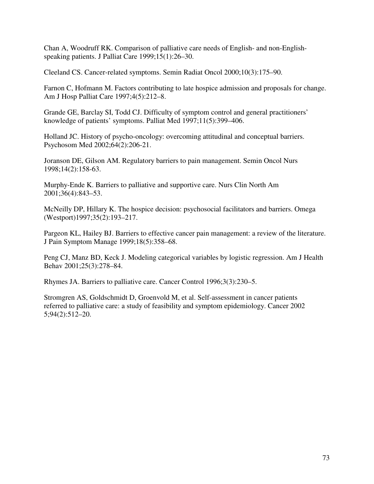Chan A, Woodruff RK. Comparison of palliative care needs of English- and non-Englishspeaking patients. J Palliat Care 1999;15(1):26–30.

Cleeland CS. Cancer-related symptoms. Semin Radiat Oncol 2000;10(3):175–90.

Farnon C, Hofmann M. Factors contributing to late hospice admission and proposals for change. Am J Hosp Palliat Care 1997;4(5):212–8.

Grande GE, Barclay SI, Todd CJ. Difficulty of symptom control and general practitioners' knowledge of patients' symptoms. Palliat Med 1997;11(5):399–406.

Holland JC. History of psycho-oncology: overcoming attitudinal and conceptual barriers. Psychosom Med 2002;64(2):206-21.

Joranson DE, Gilson AM. Regulatory barriers to pain management. Semin Oncol Nurs 1998;14(2):158-63.

Murphy-Ende K. Barriers to palliative and supportive care. Nurs Clin North Am 2001;36(4):843–53.

McNeilly DP, Hillary K. The hospice decision: psychosocial facilitators and barriers. Omega (Westport)1997;35(2):193–217.

Pargeon KL, Hailey BJ. Barriers to effective cancer pain management: a review of the literature. J Pain Symptom Manage 1999;18(5):358–68.

Peng CJ, Manz BD, Keck J. Modeling categorical variables by logistic regression. Am J Health Behav 2001;25(3):278–84.

Rhymes JA. Barriers to palliative care. Cancer Control 1996;3(3):230–5.

Stromgren AS, Goldschmidt D, Groenvold M, et al. Self-assessment in cancer patients referred to palliative care: a study of feasibility and symptom epidemiology. Cancer 2002 5;94(2):512–20.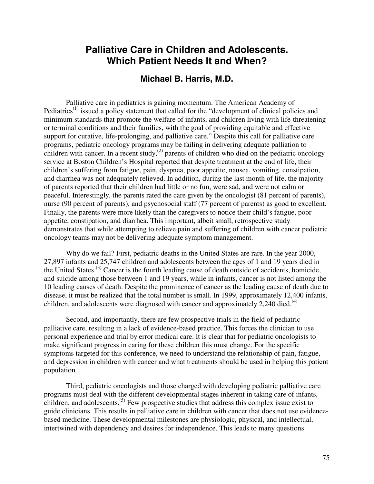# **Palliative Care in Children and Adolescents. Which Patient Needs It and When?**

## **Michael B. Harris, M.D.**

Palliative care in pediatrics is gaining momentum. The American Academy of Pediatrics<sup>(1)</sup> issued a policy statement that called for the "development of clinical policies and minimum standards that promote the welfare of infants, and children living with life-threatening or terminal conditions and their families, with the goal of providing equitable and effective support for curative, life-prolonging, and palliative care." Despite this call for palliative care programs, pediatric oncology programs may be failing in delivering adequate palliation to children with cancer. In a recent study,<sup>(2)</sup> parents of children who died on the pediatric oncology service at Boston Children's Hospital reported that despite treatment at the end of life, their children's suffering from fatigue, pain, dyspnea, poor appetite, nausea, vomiting, constipation, and diarrhea was not adequately relieved. In addition, during the last month of life, the majority of parents reported that their children had little or no fun, were sad, and were not calm or peaceful. Interestingly, the parents rated the care given by the oncologist (81 percent of parents), nurse (90 percent of parents), and psychosocial staff (77 percent of parents) as good to excellent. Finally, the parents were more likely than the caregivers to notice their child's fatigue, poor appetite, constipation, and diarrhea. This important, albeit small, retrospective study demonstrates that while attempting to relieve pain and suffering of children with cancer pediatric oncology teams may not be delivering adequate symptom management.

Why do we fail? First, pediatric deaths in the United States are rare. In the year 2000, 27,897 infants and 25,747 children and adolescents between the ages of 1 and 19 years died in the United States.<sup>(3)</sup> Cancer is the fourth leading cause of death outside of accidents, homicide, and suicide among those between 1 and 19 years, while in infants, cancer is not listed among the 10 leading causes of death. Despite the prominence of cancer as the leading cause of death due to disease, it must be realized that the total number is small. In 1999, approximately 12,400 infants, children, and adolescents were diagnosed with cancer and approximately  $2,240$  died.<sup>(4)</sup>

Second, and importantly, there are few prospective trials in the field of pediatric palliative care, resulting in a lack of evidence-based practice. This forces the clinician to use personal experience and trial by error medical care. It is clear that for pediatric oncologists to make significant progress in caring for these children this must change. For the specific symptoms targeted for this conference, we need to understand the relationship of pain, fatigue, and depression in children with cancer and what treatments should be used in helping this patient population.

Third, pediatric oncologists and those charged with developing pediatric palliative care programs must deal with the different developmental stages inherent in taking care of infants, children, and adolescents.<sup>(5)</sup> Few prospective studies that address this complex issue exist to guide clinicians. This results in palliative care in children with cancer that does not use evidencebased medicine. These developmental milestones are physiologic, physical, and intellectual, intertwined with dependency and desires for independence. This leads to many questions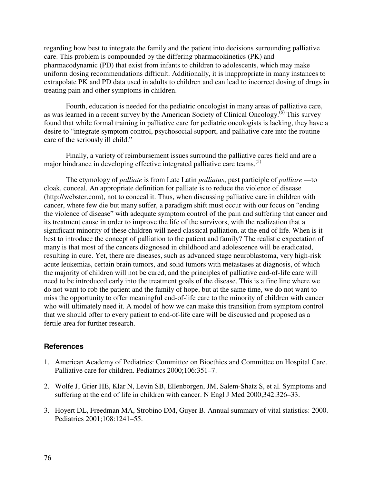regarding how best to integrate the family and the patient into decisions surrounding palliative care. This problem is compounded by the differing pharmacokinetics (PK) and pharmacodynamic (PD) that exist from infants to children to adolescents, which may make uniform dosing recommendations difficult. Additionally, it is inappropriate in many instances to extrapolate PK and PD data used in adults to children and can lead to incorrect dosing of drugs in treating pain and other symptoms in children.

Fourth, education is needed for the pediatric oncologist in many areas of palliative care, as was learned in a recent survey by the American Society of Clinical Oncology.<sup>(6)</sup> This survey found that while formal training in palliative care for pediatric oncologists is lacking, they have a desire to "integrate symptom control, psychosocial support, and palliative care into the routine care of the seriously ill child."

Finally, a variety of reimbursement issues surround the palliative cares field and are a major hindrance in developing effective integrated palliative care teams.<sup>(5)</sup>

The etymology of *palliate* is from Late Latin *palliatus*, past participle of *palliare* —to cloak, conceal. An appropriate definition for palliate is to reduce the violence of disease (http://webster.com), not to conceal it. Thus, when discussing palliative care in children with cancer, where few die but many suffer, a paradigm shift must occur with our focus on "ending the violence of disease" with adequate symptom control of the pain and suffering that cancer and its treatment cause in order to improve the life of the survivors, with the realization that a significant minority of these children will need classical palliation, at the end of life. When is it best to introduce the concept of palliation to the patient and family? The realistic expectation of many is that most of the cancers diagnosed in childhood and adolescence will be eradicated, resulting in cure. Yet, there are diseases, such as advanced stage neuroblastoma, very high-risk acute leukemias, certain brain tumors, and solid tumors with metastases at diagnosis, of which the majority of children will not be cured, and the principles of palliative end-of-life care will need to be introduced early into the treatment goals of the disease. This is a fine line where we do not want to rob the patient and the family of hope, but at the same time, we do not want to miss the opportunity to offer meaningful end-of-life care to the minority of children with cancer who will ultimately need it. A model of how we can make this transition from symptom control that we should offer to every patient to end-of-life care will be discussed and proposed as a fertile area for further research.

- 1. American Academy of Pediatrics: Committee on Bioethics and Committee on Hospital Care. Palliative care for children. Pediatrics 2000;106:351–7.
- 2. Wolfe J, Grier HE, Klar N, Levin SB, Ellenborgen, JM, Salem-Shatz S, et al. Symptoms and suffering at the end of life in children with cancer. N Engl J Med 2000;342:326–33.
- 3. Hoyert DL, Freedman MA, Strobino DM, Guyer B. Annual summary of vital statistics: 2000. Pediatrics 2001;108:1241–55.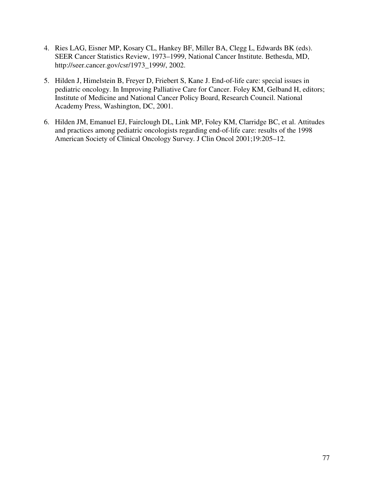- 4. Ries LAG, Eisner MP, Kosary CL, Hankey BF, Miller BA, Clegg L, Edwards BK (eds). SEER Cancer Statistics Review, 1973–1999, National Cancer Institute. Bethesda, MD, http://seer.cancer.gov/csr/1973\_1999/, 2002.
- 5. Hilden J, Himelstein B, Freyer D, Friebert S, Kane J. End-of-life care: special issues in pediatric oncology. In Improving Palliative Care for Cancer. Foley KM, Gelband H, editors; Institute of Medicine and National Cancer Policy Board, Research Council. National Academy Press, Washington, DC, 2001.
- 6. Hilden JM, Emanuel EJ, Fairclough DL, Link MP, Foley KM, Clarridge BC, et al. Attitudes and practices among pediatric oncologists regarding end-of-life care: results of the 1998 American Society of Clinical Oncology Survey. J Clin Oncol 2001;19:205–12.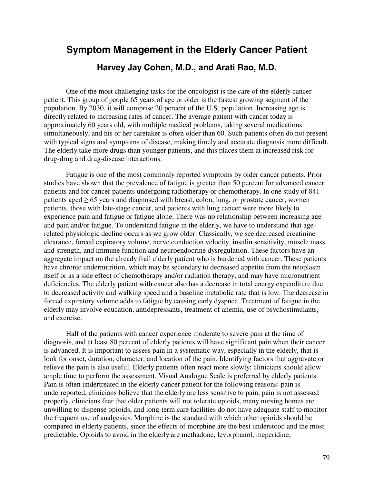# **Symptom Management in the Elderly Cancer Patient**

## **Harvey Jay Cohen, M.D., and Arati Rao, M.D.**

One of the most challenging tasks for the oncologist is the care of the elderly cancer patient. This group of people 65 years of age or older is the fastest growing segment of the population. By 2030, it will comprise 20 percent of the U.S. population. Increasing age is directly related to increasing rates of cancer. The average patient with cancer today is approximately 60 years old, with multiple medical problems, taking several medications simultaneously, and his or her caretaker is often older than 60. Such patients often do not present with typical signs and symptoms of disease, making timely and accurate diagnosis more difficult. The elderly take more drugs than younger patients, and this places them at increased risk for drug-drug and drug-disease interactions.

Fatigue is one of the most commonly reported symptoms by older cancer patients. Prior studies have shown that the prevalence of fatigue is greater than 50 percent for advanced cancer patients and for cancer patients undergoing radiotherapy or chemotherapy. In one study of 841 patients aged  $\geq 65$  years and diagnosed with breast, colon, lung, or prostate cancer, women patients, those with late-stage cancer, and patients with lung cancer were more likely to experience pain and fatigue or fatigue alone. There was no relationship between increasing age and pain and/or fatigue. To understand fatigue in the elderly, we have to understand that agerelated physiologic decline occurs as we grow older. Classically, we see decreased creatinine clearance, forced expiratory volume, nerve conduction velocity, insulin sensitivity, muscle mass and strength, and immune function and neuroendocrine dysregulation. These factors have an aggregate impact on the already frail elderly patient who is burdened with cancer. These patients have chronic undernutrition, which may be secondary to decreased appetite from the neoplasm itself or as a side effect of chemotherapy and/or radiation therapy, and may have micronutrient deficiencies. The elderly patient with cancer also has a decrease in total energy expenditure due to decreased activity and walking speed and a baseline metabolic rate that is low. The decrease in forced expiratory volume adds to fatigue by causing early dyspnea. Treatment of fatigue in the elderly may involve education, antidepressants, treatment of anemia, use of psychostimulants, and exercise.

Half of the patients with cancer experience moderate to severe pain at the time of diagnosis, and at least 80 percent of elderly patients will have significant pain when their cancer is advanced. It is important to assess pain in a systematic way, especially in the elderly, that is look for onset, duration, character, and location of the pain. Identifying factors that aggravate or relieve the pain is also useful. Elderly patients often react more slowly; clinicians should allow ample time to perform the assessment. Visual Analogue Scale is preferred by elderly patients. Pain is often undertreated in the elderly cancer patient for the following reasons: pain is underreported, clinicians believe that the elderly are less sensitive to pain, pain is not assessed properly, clinicians fear that older patients will not tolerate opioids, many nursing homes are unwilling to dispense opioids, and long-term care facilities do not have adequate staff to monitor the frequent use of analgesics. Morphine is the standard with which other opioids should be compared in elderly patients, since the effects of morphine are the best understood and the most predictable. Opioids to avoid in the elderly are methadone, levorphanol, meperidine,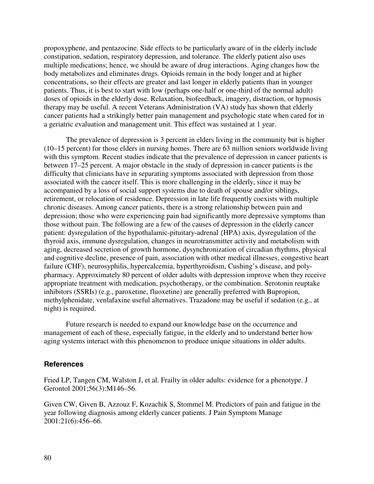propoxyphene, and pentazocine. Side effects to be particularly aware of in the elderly include constipation, sedation, respiratory depression, and tolerance. The elderly patient also uses multiple medications; hence, we should be aware of drug interactions. Aging changes how the body metabolizes and eliminates drugs. Opioids remain in the body longer and at higher concentrations, so their effects are greater and last longer in elderly patients than in younger patients. Thus, it is best to start with low (perhaps one-half or one-third of the normal adult) doses of opioids in the elderly dose. Relaxation, biofeedback, imagery, distraction, or hypnosis therapy may be useful. A recent Veterans Administration (VA) study has shown that elderly cancer patients had a strikingly better pain management and psychologic state when cared for in a geriatric evaluation and management unit. This effect was sustained at 1 year.

The prevalence of depression is 3 percent in elders living in the community but is higher (10–15 percent) for those elders in nursing homes. There are 63 million seniors worldwide living with this symptom. Recent studies indicate that the prevalence of depression in cancer patients is between 17–25 percent. A major obstacle in the study of depression in cancer patients is the difficulty that clinicians have in separating symptoms associated with depression from those associated with the cancer itself. This is more challenging in the elderly, since it may be accompanied by a loss of social support systems due to death of spouse and/or siblings, retirement, or relocation of residence. Depression in late life frequently coexists with multiple chronic diseases. Among cancer patients, there is a strong relationship between pain and depression; those who were experiencing pain had significantly more depressive symptoms than those without pain. The following are a few of the causes of depression in the elderly cancer patient: dysregulation of the hypothalamic-pituitary-adrenal (HPA) axis, dysregulation of the thyroid axis, immune dysregulation, changes in neurotransmitter activity and metabolism with aging, decreased secretion of growth hormone, dysynchronization of circadian rhythms, physical and cognitive decline, presence of pain, association with other medical illnesses, congestive heart failure (CHF), neurosyphilis, hypercalcemia, hyperthyroidism, Cushing's disease, and polypharmacy. Approximately 80 percent of older adults with depression improve when they receive appropriate treatment with medication, psychotherapy, or the combination. Serotonin reuptake inhibitors (SSRIs) (e.g., paroxetine, fluoxetine) are generally preferred with Bupropion, methylphenidate, venlafaxine useful alternatives. Trazadone may be useful if sedation (e.g., at night) is required.

Future research is needed to expand our knowledge base on the occurrence and management of each of these, especially fatigue, in the elderly and to understand better how aging systems interact with this phenomenon to produce unique situations in older adults.

### **References**

Fried LP, Tangen CM, Walston J, et al. Frailty in older adults: evidence for a phenotype. J Gerontol 2001;56(3):M146–56.

Given CW, Given B, Azzouz F, Kozachik S, Stommel M. Predictors of pain and fatigue in the year following diagnosis among elderly cancer patients. J Pain Symptom Manage 2001:21(6):456–66.